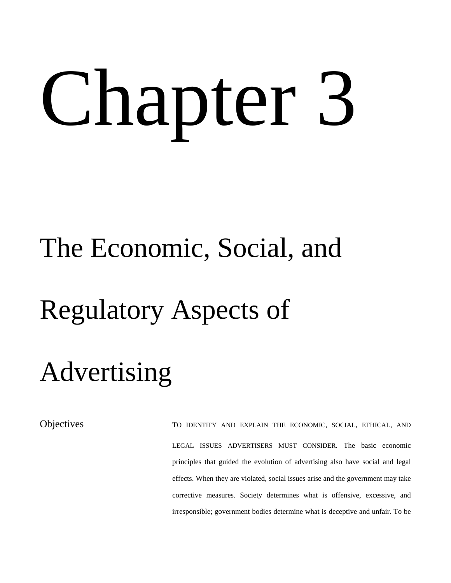# Chapter 3

# The Economic, Social, and

# Regulatory Aspects of

# Advertising

Objectives TO IDENTIFY AND EXPLAIN THE ECONOMIC, SOCIAL, ETHICAL, AND LEGAL ISSUES ADVERTISERS MUST CONSIDER. The basic economic principles that guided the evolution of advertising also have social and legal effects. When they are violated, social issues arise and the government may take corrective measures. Society determines what is offensive, excessive, and irresponsible; government bodies determine what is deceptive and unfair. To be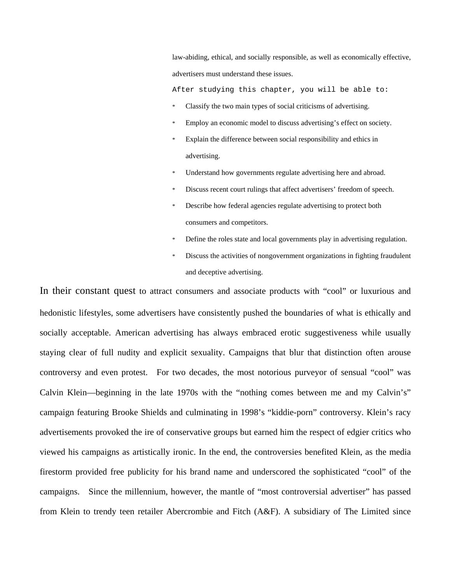law-abiding, ethical, and socially responsible, as well as economically effective, advertisers must understand these issues.

After studying this chapter, you will be able to:

- Classify the two main types of social criticisms of advertising.
- Employ an economic model to discuss advertising's effect on society.
- Explain the difference between social responsibility and ethics in advertising.
- Understand how governments regulate advertising here and abroad.
- Discuss recent court rulings that affect advertisers' freedom of speech.
- Describe how federal agencies regulate advertising to protect both consumers and competitors.
- Define the roles state and local governments play in advertising regulation.
- Discuss the activities of nongovernment organizations in fighting fraudulent and deceptive advertising.

In their constant quest to attract consumers and associate products with "cool" or luxurious and hedonistic lifestyles, some advertisers have consistently pushed the boundaries of what is ethically and socially acceptable. American advertising has always embraced erotic suggestiveness while usually staying clear of full nudity and explicit sexuality. Campaigns that blur that distinction often arouse controversy and even protest. For two decades, the most notorious purveyor of sensual "cool" was Calvin Klein—beginning in the late 1970s with the "nothing comes between me and my Calvin's" campaign featuring Brooke Shields and culminating in 1998's "kiddie-porn" controversy. Klein's racy advertisements provoked the ire of conservative groups but earned him the respect of edgier critics who viewed his campaigns as artistically ironic. In the end, the controversies benefited Klein, as the media firestorm provided free publicity for his brand name and underscored the sophisticated "cool" of the campaigns. Since the millennium, however, the mantle of "most controversial advertiser" has passed from Klein to trendy teen retailer Abercrombie and Fitch (A&F). A subsidiary of The Limited since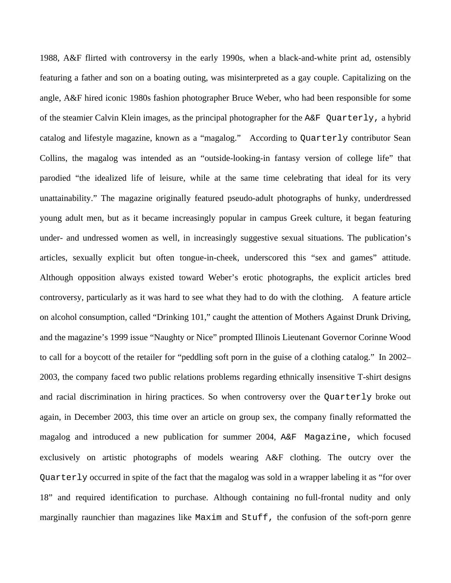1988, A&F flirted with controversy in the early 1990s, when a black-and-white print ad, ostensibly featuring a father and son on a boating outing, was misinterpreted as a gay couple. Capitalizing on the angle, A&F hired iconic 1980s fashion photographer Bruce Weber, who had been responsible for some of the steamier Calvin Klein images, as the principal photographer for the A&F Quarterly, a hybrid catalog and lifestyle magazine, known as a "magalog." According to Quarterly contributor Sean Collins, the magalog was intended as an "outside-looking-in fantasy version of college life" that parodied "the idealized life of leisure, while at the same time celebrating that ideal for its very unattainability." The magazine originally featured pseudo-adult photographs of hunky, underdressed young adult men, but as it became increasingly popular in campus Greek culture, it began featuring under- and undressed women as well, in increasingly suggestive sexual situations. The publication's articles, sexually explicit but often tongue-in-cheek, underscored this "sex and games" attitude. Although opposition always existed toward Weber's erotic photographs, the explicit articles bred controversy, particularly as it was hard to see what they had to do with the clothing. A feature article on alcohol consumption, called "Drinking 101," caught the attention of Mothers Against Drunk Driving, and the magazine's 1999 issue "Naughty or Nice" prompted Illinois Lieutenant Governor Corinne Wood to call for a boycott of the retailer for "peddling soft porn in the guise of a clothing catalog." In 2002– 2003, the company faced two public relations problems regarding ethnically insensitive T-shirt designs and racial discrimination in hiring practices. So when controversy over the Quarterly broke out again, in December 2003, this time over an article on group sex, the company finally reformatted the magalog and introduced a new publication for summer 2004, A&F Magazine, which focused exclusively on artistic photographs of models wearing A&F clothing. The outcry over the Quarterly occurred in spite of the fact that the magalog was sold in a wrapper labeling it as "for over 18" and required identification to purchase. Although containing no full-frontal nudity and only marginally raunchier than magazines like Maxim and Stuff, the confusion of the soft-porn genre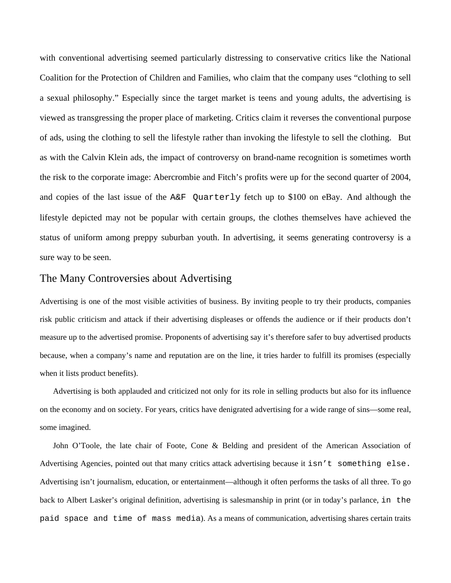with conventional advertising seemed particularly distressing to conservative critics like the National Coalition for the Protection of Children and Families, who claim that the company uses "clothing to sell a sexual philosophy." Especially since the target market is teens and young adults, the advertising is viewed as transgressing the proper place of marketing. Critics claim it reverses the conventional purpose of ads, using the clothing to sell the lifestyle rather than invoking the lifestyle to sell the clothing. But as with the Calvin Klein ads, the impact of controversy on brand-name recognition is sometimes worth the risk to the corporate image: Abercrombie and Fitch's profits were up for the second quarter of 2004, and copies of the last issue of the A&F Quarterly fetch up to \$100 on eBay. And although the lifestyle depicted may not be popular with certain groups, the clothes themselves have achieved the status of uniform among preppy suburban youth. In advertising, it seems generating controversy is a sure way to be seen.

## The Many Controversies about Advertising

Advertising is one of the most visible activities of business. By inviting people to try their products, companies risk public criticism and attack if their advertising displeases or offends the audience or if their products don't measure up to the advertised promise. Proponents of advertising say it's therefore safer to buy advertised products because, when a company's name and reputation are on the line, it tries harder to fulfill its promises (especially when it lists product benefits).

Advertising is both applauded and criticized not only for its role in selling products but also for its influence on the economy and on society. For years, critics have denigrated advertising for a wide range of sins—some real, some imagined.

John O'Toole, the late chair of Foote, Cone & Belding and president of the American Association of Advertising Agencies, pointed out that many critics attack advertising because it isn't something else. Advertising isn't journalism, education, or entertainment—although it often performs the tasks of all three. To go back to Albert Lasker's original definition, advertising is salesmanship in print (or in today's parlance, in the paid space and time of mass media). As a means of communication, advertising shares certain traits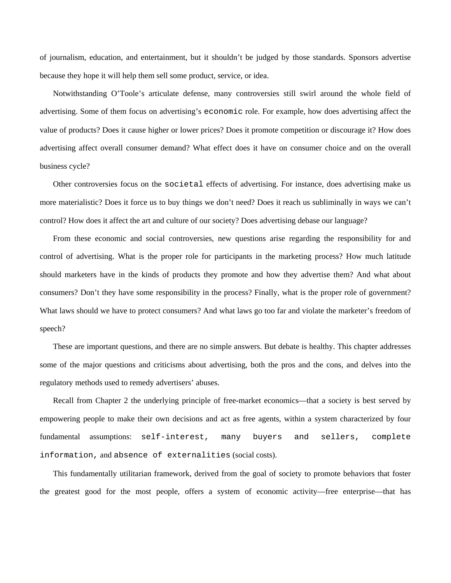of journalism, education, and entertainment, but it shouldn't be judged by those standards. Sponsors advertise because they hope it will help them sell some product, service, or idea.

Notwithstanding O'Toole's articulate defense, many controversies still swirl around the whole field of advertising. Some of them focus on advertising's economic role. For example, how does advertising affect the value of products? Does it cause higher or lower prices? Does it promote competition or discourage it? How does advertising affect overall consumer demand? What effect does it have on consumer choice and on the overall business cycle?

Other controversies focus on the societal effects of advertising. For instance, does advertising make us more materialistic? Does it force us to buy things we don't need? Does it reach us subliminally in ways we can't control? How does it affect the art and culture of our society? Does advertising debase our language?

From these economic and social controversies, new questions arise regarding the responsibility for and control of advertising. What is the proper role for participants in the marketing process? How much latitude should marketers have in the kinds of products they promote and how they advertise them? And what about consumers? Don't they have some responsibility in the process? Finally, what is the proper role of government? What laws should we have to protect consumers? And what laws go too far and violate the marketer's freedom of speech?

These are important questions, and there are no simple answers. But debate is healthy. This chapter addresses some of the major questions and criticisms about advertising, both the pros and the cons, and delves into the regulatory methods used to remedy advertisers' abuses.

Recall from Chapter 2 the underlying principle of free-market economics—that a society is best served by empowering people to make their own decisions and act as free agents, within a system characterized by four fundamental assumptions: self-interest, many buyers and sellers, complete information, and absence of externalities (social costs).

This fundamentally utilitarian framework, derived from the goal of society to promote behaviors that foster the greatest good for the most people, offers a system of economic activity—free enterprise—that has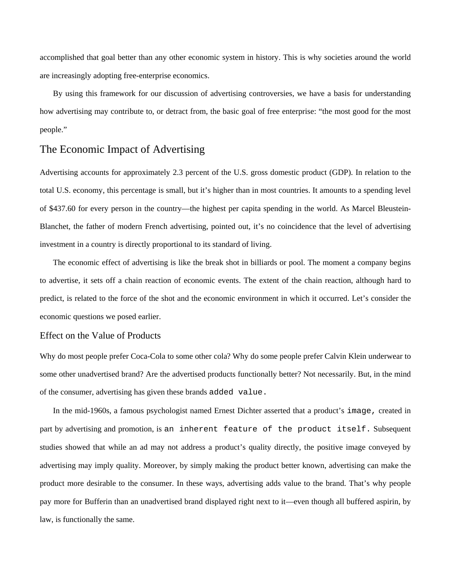accomplished that goal better than any other economic system in history. This is why societies around the world are increasingly adopting free-enterprise economics.

By using this framework for our discussion of advertising controversies, we have a basis for understanding how advertising may contribute to, or detract from, the basic goal of free enterprise: "the most good for the most people."

# The Economic Impact of Advertising

Advertising accounts for approximately 2.3 percent of the U.S. gross domestic product (GDP). In relation to the total U.S. economy, this percentage is small, but it's higher than in most countries. It amounts to a spending level of \$437.60 for every person in the country—the highest per capita spending in the world. As Marcel Bleustein-Blanchet, the father of modern French advertising, pointed out, it's no coincidence that the level of advertising investment in a country is directly proportional to its standard of living.

The economic effect of advertising is like the break shot in billiards or pool. The moment a company begins to advertise, it sets off a chain reaction of economic events. The extent of the chain reaction, although hard to predict, is related to the force of the shot and the economic environment in which it occurred. Let's consider the economic questions we posed earlier.

#### Effect on the Value of Products

Why do most people prefer Coca-Cola to some other cola? Why do some people prefer Calvin Klein underwear to some other unadvertised brand? Are the advertised products functionally better? Not necessarily. But, in the mind of the consumer, advertising has given these brands added value.

In the mid-1960s, a famous psychologist named Ernest Dichter asserted that a product's image, created in part by advertising and promotion, is an inherent feature of the product itself. Subsequent studies showed that while an ad may not address a product's quality directly, the positive image conveyed by advertising may imply quality. Moreover, by simply making the product better known, advertising can make the product more desirable to the consumer. In these ways, advertising adds value to the brand. That's why people pay more for Bufferin than an unadvertised brand displayed right next to it—even though all buffered aspirin, by law, is functionally the same.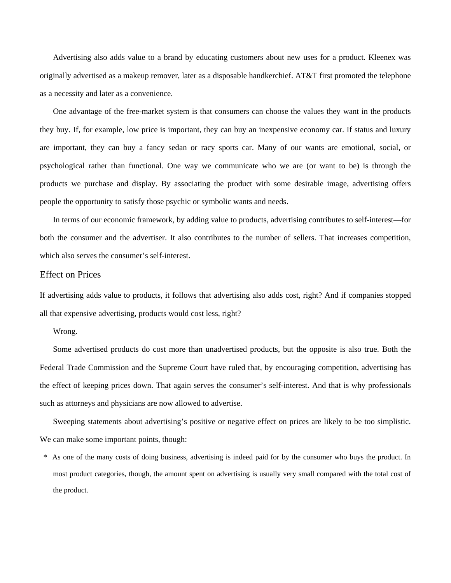Advertising also adds value to a brand by educating customers about new uses for a product. Kleenex was originally advertised as a makeup remover, later as a disposable handkerchief. AT&T first promoted the telephone as a necessity and later as a convenience.

One advantage of the free-market system is that consumers can choose the values they want in the products they buy. If, for example, low price is important, they can buy an inexpensive economy car. If status and luxury are important, they can buy a fancy sedan or racy sports car. Many of our wants are emotional, social, or psychological rather than functional. One way we communicate who we are (or want to be) is through the products we purchase and display. By associating the product with some desirable image, advertising offers people the opportunity to satisfy those psychic or symbolic wants and needs.

In terms of our economic framework, by adding value to products, advertising contributes to self-interest—for both the consumer and the advertiser. It also contributes to the number of sellers. That increases competition, which also serves the consumer's self-interest.

#### Effect on Prices

If advertising adds value to products, it follows that advertising also adds cost, right? And if companies stopped all that expensive advertising, products would cost less, right?

#### Wrong.

Some advertised products do cost more than unadvertised products, but the opposite is also true. Both the Federal Trade Commission and the Supreme Court have ruled that, by encouraging competition, advertising has the effect of keeping prices down. That again serves the consumer's self-interest. And that is why professionals such as attorneys and physicians are now allowed to advertise.

Sweeping statements about advertising's positive or negative effect on prices are likely to be too simplistic. We can make some important points, though:

 \* As one of the many costs of doing business, advertising is indeed paid for by the consumer who buys the product. In most product categories, though, the amount spent on advertising is usually very small compared with the total cost of the product.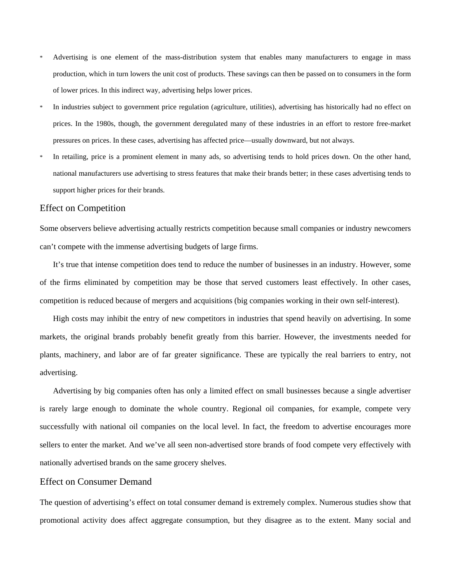- Advertising is one element of the mass-distribution system that enables many manufacturers to engage in mass production, which in turn lowers the unit cost of products. These savings can then be passed on to consumers in the form of lower prices. In this indirect way, advertising helps lower prices.
- In industries subject to government price regulation (agriculture, utilities), advertising has historically had no effect on prices. In the 1980s, though, the government deregulated many of these industries in an effort to restore free-market pressures on prices. In these cases, advertising has affected price—usually downward, but not always.
- In retailing, price is a prominent element in many ads, so advertising tends to hold prices down. On the other hand, national manufacturers use advertising to stress features that make their brands better; in these cases advertising tends to support higher prices for their brands.

#### Effect on Competition

Some observers believe advertising actually restricts competition because small companies or industry newcomers can't compete with the immense advertising budgets of large firms.

It's true that intense competition does tend to reduce the number of businesses in an industry. However, some of the firms eliminated by competition may be those that served customers least effectively. In other cases, competition is reduced because of mergers and acquisitions (big companies working in their own self-interest).

High costs may inhibit the entry of new competitors in industries that spend heavily on advertising. In some markets, the original brands probably benefit greatly from this barrier. However, the investments needed for plants, machinery, and labor are of far greater significance. These are typically the real barriers to entry, not advertising.

Advertising by big companies often has only a limited effect on small businesses because a single advertiser is rarely large enough to dominate the whole country. Regional oil companies, for example, compete very successfully with national oil companies on the local level. In fact, the freedom to advertise encourages more sellers to enter the market. And we've all seen non-advertised store brands of food compete very effectively with nationally advertised brands on the same grocery shelves.

#### Effect on Consumer Demand

The question of advertising's effect on total consumer demand is extremely complex. Numerous studies show that promotional activity does affect aggregate consumption, but they disagree as to the extent. Many social and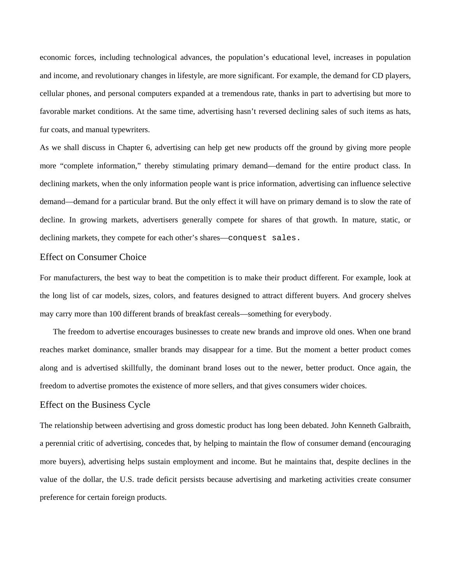economic forces, including technological advances, the population's educational level, increases in population and income, and revolutionary changes in lifestyle, are more significant. For example, the demand for CD players, cellular phones, and personal computers expanded at a tremendous rate, thanks in part to advertising but more to favorable market conditions. At the same time, advertising hasn't reversed declining sales of such items as hats, fur coats, and manual typewriters.

As we shall discuss in Chapter 6, advertising can help get new products off the ground by giving more people more "complete information," thereby stimulating primary demand—demand for the entire product class. In declining markets, when the only information people want is price information, advertising can influence selective demand—demand for a particular brand. But the only effect it will have on primary demand is to slow the rate of decline. In growing markets, advertisers generally compete for shares of that growth. In mature, static, or declining markets, they compete for each other's shares—conquest sales.

#### Effect on Consumer Choice

For manufacturers, the best way to beat the competition is to make their product different. For example, look at the long list of car models, sizes, colors, and features designed to attract different buyers. And grocery shelves may carry more than 100 different brands of breakfast cereals—something for everybody.

The freedom to advertise encourages businesses to create new brands and improve old ones. When one brand reaches market dominance, smaller brands may disappear for a time. But the moment a better product comes along and is advertised skillfully, the dominant brand loses out to the newer, better product. Once again, the freedom to advertise promotes the existence of more sellers, and that gives consumers wider choices.

#### Effect on the Business Cycle

The relationship between advertising and gross domestic product has long been debated. John Kenneth Galbraith, a perennial critic of advertising, concedes that, by helping to maintain the flow of consumer demand (encouraging more buyers), advertising helps sustain employment and income. But he maintains that, despite declines in the value of the dollar, the U.S. trade deficit persists because advertising and marketing activities create consumer preference for certain foreign products.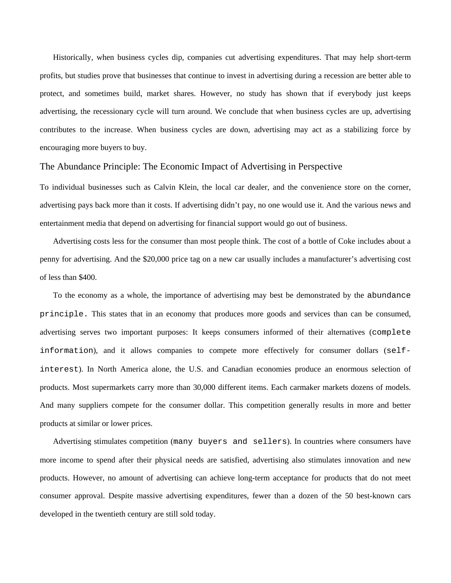Historically, when business cycles dip, companies cut advertising expenditures. That may help short-term profits, but studies prove that businesses that continue to invest in advertising during a recession are better able to protect, and sometimes build, market shares. However, no study has shown that if everybody just keeps advertising, the recessionary cycle will turn around. We conclude that when business cycles are up, advertising contributes to the increase. When business cycles are down, advertising may act as a stabilizing force by encouraging more buyers to buy.

#### The Abundance Principle: The Economic Impact of Advertising in Perspective

To individual businesses such as Calvin Klein, the local car dealer, and the convenience store on the corner, advertising pays back more than it costs. If advertising didn't pay, no one would use it. And the various news and entertainment media that depend on advertising for financial support would go out of business.

Advertising costs less for the consumer than most people think. The cost of a bottle of Coke includes about a penny for advertising. And the \$20,000 price tag on a new car usually includes a manufacturer's advertising cost of less than \$400.

To the economy as a whole, the importance of advertising may best be demonstrated by the abundance principle. This states that in an economy that produces more goods and services than can be consumed, advertising serves two important purposes: It keeps consumers informed of their alternatives (complete information), and it allows companies to compete more effectively for consumer dollars (selfinterest). In North America alone, the U.S. and Canadian economies produce an enormous selection of products. Most supermarkets carry more than 30,000 different items. Each carmaker markets dozens of models. And many suppliers compete for the consumer dollar. This competition generally results in more and better products at similar or lower prices.

Advertising stimulates competition (many buyers and sellers). In countries where consumers have more income to spend after their physical needs are satisfied, advertising also stimulates innovation and new products. However, no amount of advertising can achieve long-term acceptance for products that do not meet consumer approval. Despite massive advertising expenditures, fewer than a dozen of the 50 best-known cars developed in the twentieth century are still sold today.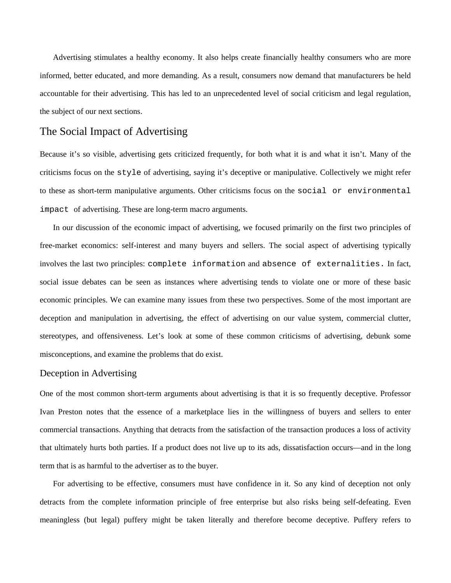Advertising stimulates a healthy economy. It also helps create financially healthy consumers who are more informed, better educated, and more demanding. As a result, consumers now demand that manufacturers be held accountable for their advertising. This has led to an unprecedented level of social criticism and legal regulation, the subject of our next sections.

# The Social Impact of Advertising

Because it's so visible, advertising gets criticized frequently, for both what it is and what it isn't. Many of the criticisms focus on the style of advertising, saying it's deceptive or manipulative. Collectively we might refer to these as short-term manipulative arguments. Other criticisms focus on the social or environmental impact of advertising. These are long-term macro arguments.

In our discussion of the economic impact of advertising, we focused primarily on the first two principles of free-market economics: self-interest and many buyers and sellers. The social aspect of advertising typically involves the last two principles: complete information and absence of externalities. In fact, social issue debates can be seen as instances where advertising tends to violate one or more of these basic economic principles. We can examine many issues from these two perspectives. Some of the most important are deception and manipulation in advertising, the effect of advertising on our value system, commercial clutter, stereotypes, and offensiveness. Let's look at some of these common criticisms of advertising, debunk some misconceptions, and examine the problems that do exist.

#### Deception in Advertising

One of the most common short-term arguments about advertising is that it is so frequently deceptive. Professor Ivan Preston notes that the essence of a marketplace lies in the willingness of buyers and sellers to enter commercial transactions. Anything that detracts from the satisfaction of the transaction produces a loss of activity that ultimately hurts both parties. If a product does not live up to its ads, dissatisfaction occurs—and in the long term that is as harmful to the advertiser as to the buyer.

For advertising to be effective, consumers must have confidence in it. So any kind of deception not only detracts from the complete information principle of free enterprise but also risks being self-defeating. Even meaningless (but legal) puffery might be taken literally and therefore become deceptive. Puffery refers to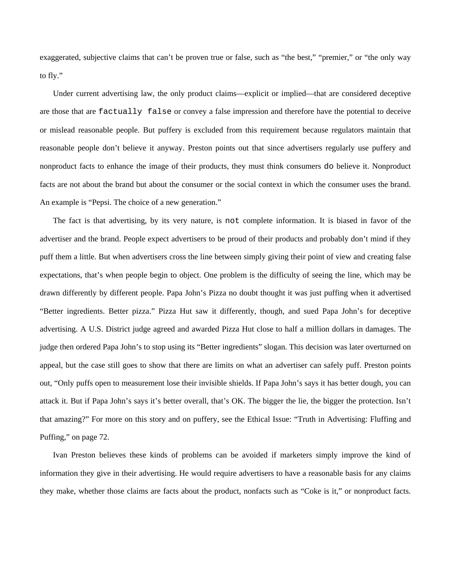exaggerated, subjective claims that can't be proven true or false, such as "the best," "premier," or "the only way to fly."

Under current advertising law, the only product claims—explicit or implied—that are considered deceptive are those that are factually false or convey a false impression and therefore have the potential to deceive or mislead reasonable people. But puffery is excluded from this requirement because regulators maintain that reasonable people don't believe it anyway. Preston points out that since advertisers regularly use puffery and nonproduct facts to enhance the image of their products, they must think consumers do believe it. Nonproduct facts are not about the brand but about the consumer or the social context in which the consumer uses the brand. An example is "Pepsi. The choice of a new generation."

The fact is that advertising, by its very nature, is not complete information. It is biased in favor of the advertiser and the brand. People expect advertisers to be proud of their products and probably don't mind if they puff them a little. But when advertisers cross the line between simply giving their point of view and creating false expectations, that's when people begin to object. One problem is the difficulty of seeing the line, which may be drawn differently by different people. Papa John's Pizza no doubt thought it was just puffing when it advertised "Better ingredients. Better pizza." Pizza Hut saw it differently, though, and sued Papa John's for deceptive advertising. A U.S. District judge agreed and awarded Pizza Hut close to half a million dollars in damages. The judge then ordered Papa John's to stop using its "Better ingredients" slogan. This decision was later overturned on appeal, but the case still goes to show that there are limits on what an advertiser can safely puff. Preston points out, "Only puffs open to measurement lose their invisible shields. If Papa John's says it has better dough, you can attack it. But if Papa John's says it's better overall, that's OK. The bigger the lie, the bigger the protection. Isn't that amazing?" For more on this story and on puffery, see the Ethical Issue: "Truth in Advertising: Fluffing and Puffing," on page 72.

Ivan Preston believes these kinds of problems can be avoided if marketers simply improve the kind of information they give in their advertising. He would require advertisers to have a reasonable basis for any claims they make, whether those claims are facts about the product, nonfacts such as "Coke is it," or nonproduct facts.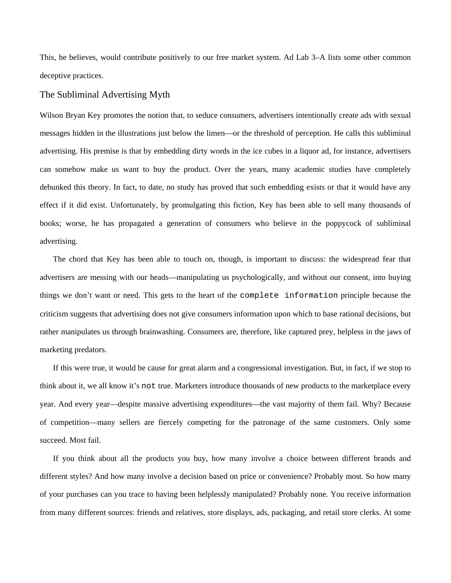This, he believes, would contribute positively to our free market system. Ad Lab 3–A lists some other common deceptive practices.

#### The Subliminal Advertising Myth

Wilson Bryan Key promotes the notion that, to seduce consumers, advertisers intentionally create ads with sexual messages hidden in the illustrations just below the limen—or the threshold of perception. He calls this subliminal advertising. His premise is that by embedding dirty words in the ice cubes in a liquor ad, for instance, advertisers can somehow make us want to buy the product. Over the years, many academic studies have completely debunked this theory. In fact, to date, no study has proved that such embedding exists or that it would have any effect if it did exist. Unfortunately, by promulgating this fiction, Key has been able to sell many thousands of books; worse, he has propagated a generation of consumers who believe in the poppycock of subliminal advertising.

The chord that Key has been able to touch on, though, is important to discuss: the widespread fear that advertisers are messing with our heads—manipulating us psychologically, and without our consent, into buying things we don't want or need. This gets to the heart of the complete information principle because the criticism suggests that advertising does not give consumers information upon which to base rational decisions, but rather manipulates us through brainwashing. Consumers are, therefore, like captured prey, helpless in the jaws of marketing predators.

If this were true, it would be cause for great alarm and a congressional investigation. But, in fact, if we stop to think about it, we all know it's not true. Marketers introduce thousands of new products to the marketplace every year. And every year—despite massive advertising expenditures—the vast majority of them fail. Why? Because of competition—many sellers are fiercely competing for the patronage of the same customers. Only some succeed. Most fail.

If you think about all the products you buy, how many involve a choice between different brands and different styles? And how many involve a decision based on price or convenience? Probably most. So how many of your purchases can you trace to having been helplessly manipulated? Probably none. You receive information from many different sources: friends and relatives, store displays, ads, packaging, and retail store clerks. At some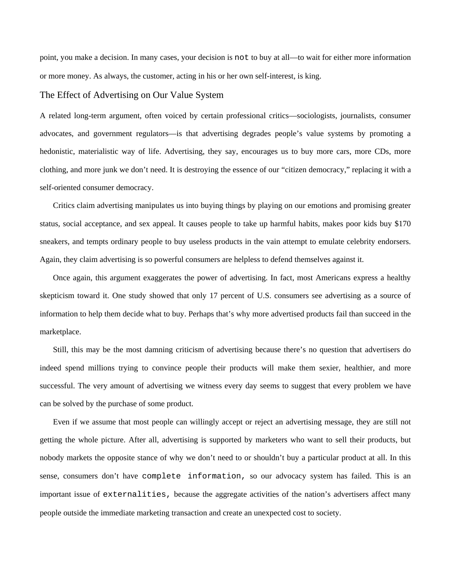point, you make a decision. In many cases, your decision is not to buy at all—to wait for either more information or more money. As always, the customer, acting in his or her own self-interest, is king.

#### The Effect of Advertising on Our Value System

A related long-term argument, often voiced by certain professional critics—sociologists, journalists, consumer advocates, and government regulators—is that advertising degrades people's value systems by promoting a hedonistic, materialistic way of life. Advertising, they say, encourages us to buy more cars, more CDs, more clothing, and more junk we don't need. It is destroying the essence of our "citizen democracy," replacing it with a self-oriented consumer democracy.

Critics claim advertising manipulates us into buying things by playing on our emotions and promising greater status, social acceptance, and sex appeal. It causes people to take up harmful habits, makes poor kids buy \$170 sneakers, and tempts ordinary people to buy useless products in the vain attempt to emulate celebrity endorsers. Again, they claim advertising is so powerful consumers are helpless to defend themselves against it.

Once again, this argument exaggerates the power of advertising. In fact, most Americans express a healthy skepticism toward it. One study showed that only 17 percent of U.S. consumers see advertising as a source of information to help them decide what to buy. Perhaps that's why more advertised products fail than succeed in the marketplace.

Still, this may be the most damning criticism of advertising because there's no question that advertisers do indeed spend millions trying to convince people their products will make them sexier, healthier, and more successful. The very amount of advertising we witness every day seems to suggest that every problem we have can be solved by the purchase of some product.

Even if we assume that most people can willingly accept or reject an advertising message, they are still not getting the whole picture. After all, advertising is supported by marketers who want to sell their products, but nobody markets the opposite stance of why we don't need to or shouldn't buy a particular product at all. In this sense, consumers don't have complete information, so our advocacy system has failed. This is an important issue of externalities, because the aggregate activities of the nation's advertisers affect many people outside the immediate marketing transaction and create an unexpected cost to society.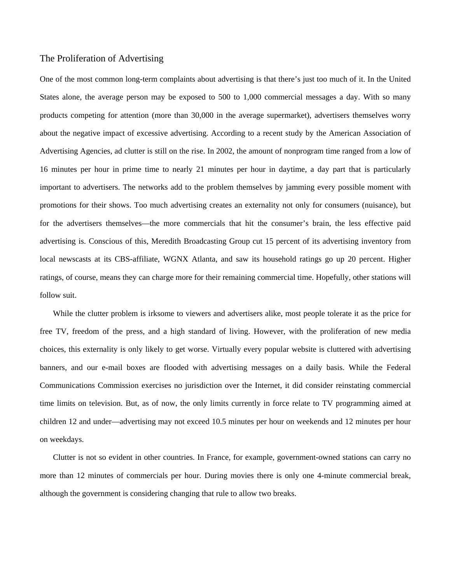#### The Proliferation of Advertising

One of the most common long-term complaints about advertising is that there's just too much of it. In the United States alone, the average person may be exposed to 500 to 1,000 commercial messages a day. With so many products competing for attention (more than 30,000 in the average supermarket), advertisers themselves worry about the negative impact of excessive advertising. According to a recent study by the American Association of Advertising Agencies, ad clutter is still on the rise. In 2002, the amount of nonprogram time ranged from a low of 16 minutes per hour in prime time to nearly 21 minutes per hour in daytime, a day part that is particularly important to advertisers. The networks add to the problem themselves by jamming every possible moment with promotions for their shows. Too much advertising creates an externality not only for consumers (nuisance), but for the advertisers themselves—the more commercials that hit the consumer's brain, the less effective paid advertising is. Conscious of this, Meredith Broadcasting Group cut 15 percent of its advertising inventory from local newscasts at its CBS-affiliate, WGNX Atlanta, and saw its household ratings go up 20 percent. Higher ratings, of course, means they can charge more for their remaining commercial time. Hopefully, other stations will follow suit.

While the clutter problem is irksome to viewers and advertisers alike, most people tolerate it as the price for free TV, freedom of the press, and a high standard of living. However, with the proliferation of new media choices, this externality is only likely to get worse. Virtually every popular website is cluttered with advertising banners, and our e-mail boxes are flooded with advertising messages on a daily basis. While the Federal Communications Commission exercises no jurisdiction over the Internet, it did consider reinstating commercial time limits on television. But, as of now, the only limits currently in force relate to TV programming aimed at children 12 and under—advertising may not exceed 10.5 minutes per hour on weekends and 12 minutes per hour on weekdays.

Clutter is not so evident in other countries. In France, for example, government-owned stations can carry no more than 12 minutes of commercials per hour. During movies there is only one 4-minute commercial break, although the government is considering changing that rule to allow two breaks.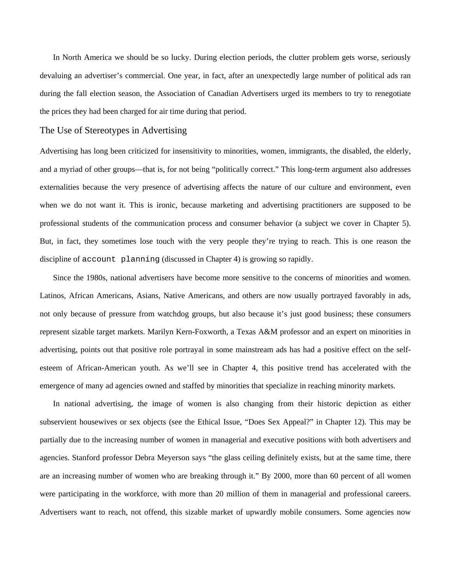In North America we should be so lucky. During election periods, the clutter problem gets worse, seriously devaluing an advertiser's commercial. One year, in fact, after an unexpectedly large number of political ads ran during the fall election season, the Association of Canadian Advertisers urged its members to try to renegotiate the prices they had been charged for air time during that period.

#### The Use of Stereotypes in Advertising

Advertising has long been criticized for insensitivity to minorities, women, immigrants, the disabled, the elderly, and a myriad of other groups—that is, for not being "politically correct." This long-term argument also addresses externalities because the very presence of advertising affects the nature of our culture and environment, even when we do not want it. This is ironic, because marketing and advertising practitioners are supposed to be professional students of the communication process and consumer behavior (a subject we cover in Chapter 5). But, in fact, they sometimes lose touch with the very people they're trying to reach. This is one reason the discipline of account planning (discussed in Chapter 4) is growing so rapidly.

Since the 1980s, national advertisers have become more sensitive to the concerns of minorities and women. Latinos, African Americans, Asians, Native Americans, and others are now usually portrayed favorably in ads, not only because of pressure from watchdog groups, but also because it's just good business; these consumers represent sizable target markets. Marilyn Kern-Foxworth, a Texas A&M professor and an expert on minorities in advertising, points out that positive role portrayal in some mainstream ads has had a positive effect on the selfesteem of African-American youth. As we'll see in Chapter 4, this positive trend has accelerated with the emergence of many ad agencies owned and staffed by minorities that specialize in reaching minority markets.

In national advertising, the image of women is also changing from their historic depiction as either subservient housewives or sex objects (see the Ethical Issue, "Does Sex Appeal?" in Chapter 12). This may be partially due to the increasing number of women in managerial and executive positions with both advertisers and agencies. Stanford professor Debra Meyerson says "the glass ceiling definitely exists, but at the same time, there are an increasing number of women who are breaking through it." By 2000, more than 60 percent of all women were participating in the workforce, with more than 20 million of them in managerial and professional careers. Advertisers want to reach, not offend, this sizable market of upwardly mobile consumers. Some agencies now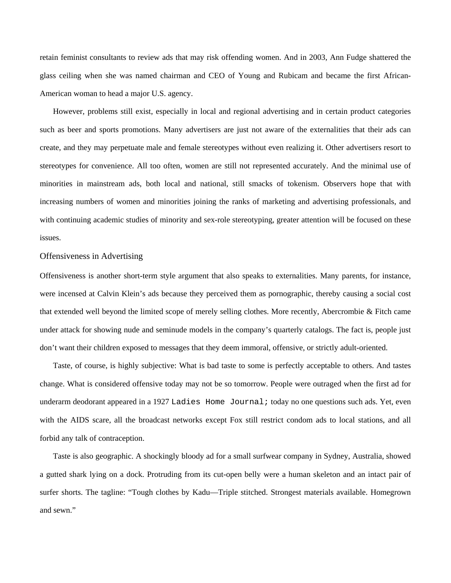retain feminist consultants to review ads that may risk offending women. And in 2003, Ann Fudge shattered the glass ceiling when she was named chairman and CEO of Young and Rubicam and became the first African-American woman to head a major U.S. agency.

However, problems still exist, especially in local and regional advertising and in certain product categories such as beer and sports promotions. Many advertisers are just not aware of the externalities that their ads can create, and they may perpetuate male and female stereotypes without even realizing it. Other advertisers resort to stereotypes for convenience. All too often, women are still not represented accurately. And the minimal use of minorities in mainstream ads, both local and national, still smacks of tokenism. Observers hope that with increasing numbers of women and minorities joining the ranks of marketing and advertising professionals, and with continuing academic studies of minority and sex-role stereotyping, greater attention will be focused on these issues.

#### Offensiveness in Advertising

Offensiveness is another short-term style argument that also speaks to externalities. Many parents, for instance, were incensed at Calvin Klein's ads because they perceived them as pornographic, thereby causing a social cost that extended well beyond the limited scope of merely selling clothes. More recently, Abercrombie & Fitch came under attack for showing nude and seminude models in the company's quarterly catalogs. The fact is, people just don't want their children exposed to messages that they deem immoral, offensive, or strictly adult-oriented.

Taste, of course, is highly subjective: What is bad taste to some is perfectly acceptable to others. And tastes change. What is considered offensive today may not be so tomorrow. People were outraged when the first ad for underarm deodorant appeared in a 1927 Ladies Home Journal; today no one questions such ads. Yet, even with the AIDS scare, all the broadcast networks except Fox still restrict condom ads to local stations, and all forbid any talk of contraception.

Taste is also geographic. A shockingly bloody ad for a small surfwear company in Sydney, Australia, showed a gutted shark lying on a dock. Protruding from its cut-open belly were a human skeleton and an intact pair of surfer shorts. The tagline: "Tough clothes by Kadu—Triple stitched. Strongest materials available. Homegrown and sewn."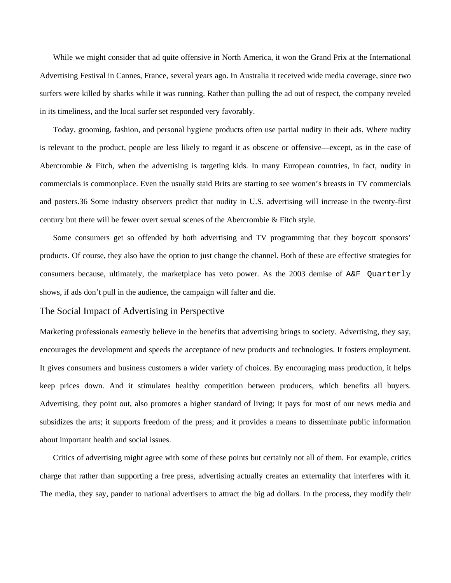While we might consider that ad quite offensive in North America, it won the Grand Prix at the International Advertising Festival in Cannes, France, several years ago. In Australia it received wide media coverage, since two surfers were killed by sharks while it was running. Rather than pulling the ad out of respect, the company reveled in its timeliness, and the local surfer set responded very favorably.

Today, grooming, fashion, and personal hygiene products often use partial nudity in their ads. Where nudity is relevant to the product, people are less likely to regard it as obscene or offensive—except, as in the case of Abercrombie & Fitch, when the advertising is targeting kids. In many European countries, in fact, nudity in commercials is commonplace. Even the usually staid Brits are starting to see women's breasts in TV commercials and posters.36 Some industry observers predict that nudity in U.S. advertising will increase in the twenty-first century but there will be fewer overt sexual scenes of the Abercrombie & Fitch style.

Some consumers get so offended by both advertising and TV programming that they boycott sponsors' products. Of course, they also have the option to just change the channel. Both of these are effective strategies for consumers because, ultimately, the marketplace has veto power. As the 2003 demise of A&F Quarterly shows, if ads don't pull in the audience, the campaign will falter and die.

#### The Social Impact of Advertising in Perspective

Marketing professionals earnestly believe in the benefits that advertising brings to society. Advertising, they say, encourages the development and speeds the acceptance of new products and technologies. It fosters employment. It gives consumers and business customers a wider variety of choices. By encouraging mass production, it helps keep prices down. And it stimulates healthy competition between producers, which benefits all buyers. Advertising, they point out, also promotes a higher standard of living; it pays for most of our news media and subsidizes the arts; it supports freedom of the press; and it provides a means to disseminate public information about important health and social issues.

Critics of advertising might agree with some of these points but certainly not all of them. For example, critics charge that rather than supporting a free press, advertising actually creates an externality that interferes with it. The media, they say, pander to national advertisers to attract the big ad dollars. In the process, they modify their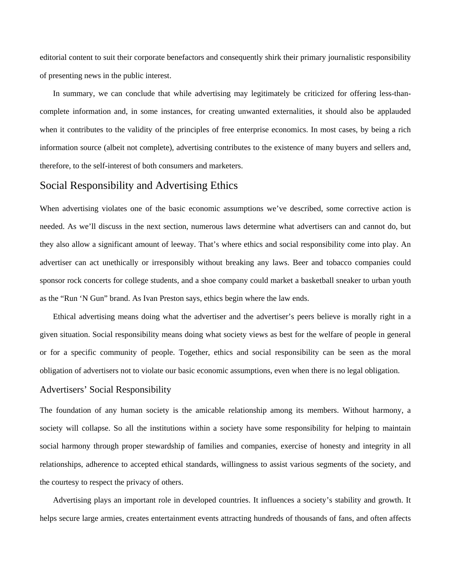editorial content to suit their corporate benefactors and consequently shirk their primary journalistic responsibility of presenting news in the public interest.

In summary, we can conclude that while advertising may legitimately be criticized for offering less-thancomplete information and, in some instances, for creating unwanted externalities, it should also be applauded when it contributes to the validity of the principles of free enterprise economics. In most cases, by being a rich information source (albeit not complete), advertising contributes to the existence of many buyers and sellers and, therefore, to the self-interest of both consumers and marketers.

### Social Responsibility and Advertising Ethics

When advertising violates one of the basic economic assumptions we've described, some corrective action is needed. As we'll discuss in the next section, numerous laws determine what advertisers can and cannot do, but they also allow a significant amount of leeway. That's where ethics and social responsibility come into play. An advertiser can act unethically or irresponsibly without breaking any laws. Beer and tobacco companies could sponsor rock concerts for college students, and a shoe company could market a basketball sneaker to urban youth as the "Run 'N Gun" brand. As Ivan Preston says, ethics begin where the law ends.

Ethical advertising means doing what the advertiser and the advertiser's peers believe is morally right in a given situation. Social responsibility means doing what society views as best for the welfare of people in general or for a specific community of people. Together, ethics and social responsibility can be seen as the moral obligation of advertisers not to violate our basic economic assumptions, even when there is no legal obligation.

#### Advertisers' Social Responsibility

The foundation of any human society is the amicable relationship among its members. Without harmony, a society will collapse. So all the institutions within a society have some responsibility for helping to maintain social harmony through proper stewardship of families and companies, exercise of honesty and integrity in all relationships, adherence to accepted ethical standards, willingness to assist various segments of the society, and the courtesy to respect the privacy of others.

Advertising plays an important role in developed countries. It influences a society's stability and growth. It helps secure large armies, creates entertainment events attracting hundreds of thousands of fans, and often affects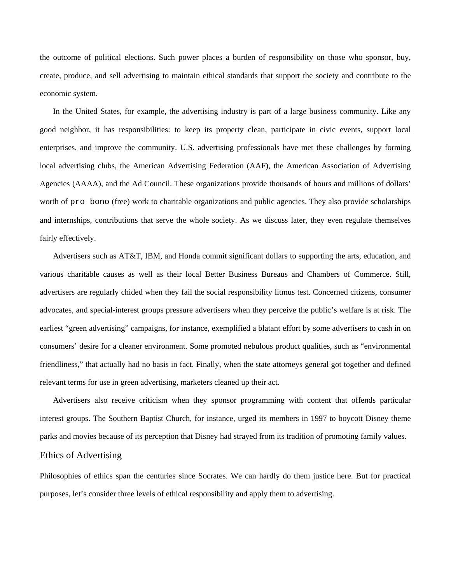the outcome of political elections. Such power places a burden of responsibility on those who sponsor, buy, create, produce, and sell advertising to maintain ethical standards that support the society and contribute to the economic system.

In the United States, for example, the advertising industry is part of a large business community. Like any good neighbor, it has responsibilities: to keep its property clean, participate in civic events, support local enterprises, and improve the community. U.S. advertising professionals have met these challenges by forming local advertising clubs, the American Advertising Federation (AAF), the American Association of Advertising Agencies (AAAA), and the Ad Council. These organizations provide thousands of hours and millions of dollars' worth of pro bono (free) work to charitable organizations and public agencies. They also provide scholarships and internships, contributions that serve the whole society. As we discuss later, they even regulate themselves fairly effectively.

Advertisers such as AT&T, IBM, and Honda commit significant dollars to supporting the arts, education, and various charitable causes as well as their local Better Business Bureaus and Chambers of Commerce. Still, advertisers are regularly chided when they fail the social responsibility litmus test. Concerned citizens, consumer advocates, and special-interest groups pressure advertisers when they perceive the public's welfare is at risk. The earliest "green advertising" campaigns, for instance, exemplified a blatant effort by some advertisers to cash in on consumers' desire for a cleaner environment. Some promoted nebulous product qualities, such as "environmental friendliness," that actually had no basis in fact. Finally, when the state attorneys general got together and defined relevant terms for use in green advertising, marketers cleaned up their act.

Advertisers also receive criticism when they sponsor programming with content that offends particular interest groups. The Southern Baptist Church, for instance, urged its members in 1997 to boycott Disney theme parks and movies because of its perception that Disney had strayed from its tradition of promoting family values.

#### Ethics of Advertising

Philosophies of ethics span the centuries since Socrates. We can hardly do them justice here. But for practical purposes, let's consider three levels of ethical responsibility and apply them to advertising.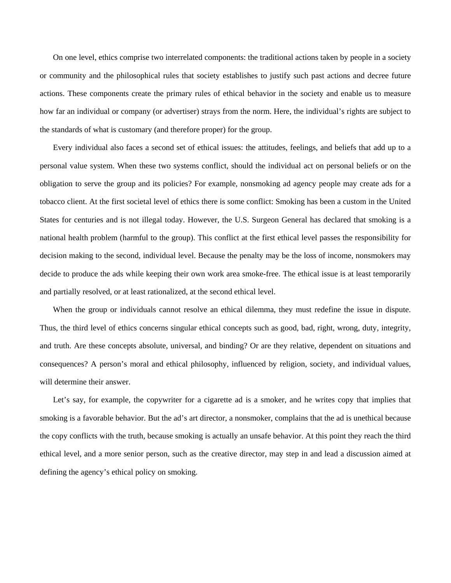On one level, ethics comprise two interrelated components: the traditional actions taken by people in a society or community and the philosophical rules that society establishes to justify such past actions and decree future actions. These components create the primary rules of ethical behavior in the society and enable us to measure how far an individual or company (or advertiser) strays from the norm. Here, the individual's rights are subject to the standards of what is customary (and therefore proper) for the group.

Every individual also faces a second set of ethical issues: the attitudes, feelings, and beliefs that add up to a personal value system. When these two systems conflict, should the individual act on personal beliefs or on the obligation to serve the group and its policies? For example, nonsmoking ad agency people may create ads for a tobacco client. At the first societal level of ethics there is some conflict: Smoking has been a custom in the United States for centuries and is not illegal today. However, the U.S. Surgeon General has declared that smoking is a national health problem (harmful to the group). This conflict at the first ethical level passes the responsibility for decision making to the second, individual level. Because the penalty may be the loss of income, nonsmokers may decide to produce the ads while keeping their own work area smoke-free. The ethical issue is at least temporarily and partially resolved, or at least rationalized, at the second ethical level.

When the group or individuals cannot resolve an ethical dilemma, they must redefine the issue in dispute. Thus, the third level of ethics concerns singular ethical concepts such as good, bad, right, wrong, duty, integrity, and truth. Are these concepts absolute, universal, and binding? Or are they relative, dependent on situations and consequences? A person's moral and ethical philosophy, influenced by religion, society, and individual values, will determine their answer.

Let's say, for example, the copywriter for a cigarette ad is a smoker, and he writes copy that implies that smoking is a favorable behavior. But the ad's art director, a nonsmoker, complains that the ad is unethical because the copy conflicts with the truth, because smoking is actually an unsafe behavior. At this point they reach the third ethical level, and a more senior person, such as the creative director, may step in and lead a discussion aimed at defining the agency's ethical policy on smoking.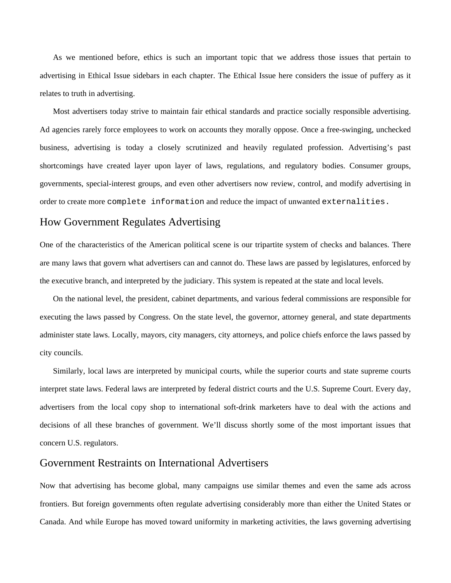As we mentioned before, ethics is such an important topic that we address those issues that pertain to advertising in Ethical Issue sidebars in each chapter. The Ethical Issue here considers the issue of puffery as it relates to truth in advertising.

Most advertisers today strive to maintain fair ethical standards and practice socially responsible advertising. Ad agencies rarely force employees to work on accounts they morally oppose. Once a free-swinging, unchecked business, advertising is today a closely scrutinized and heavily regulated profession. Advertising's past shortcomings have created layer upon layer of laws, regulations, and regulatory bodies. Consumer groups, governments, special-interest groups, and even other advertisers now review, control, and modify advertising in order to create more complete information and reduce the impact of unwanted externalities.

# How Government Regulates Advertising

One of the characteristics of the American political scene is our tripartite system of checks and balances. There are many laws that govern what advertisers can and cannot do. These laws are passed by legislatures, enforced by the executive branch, and interpreted by the judiciary. This system is repeated at the state and local levels.

On the national level, the president, cabinet departments, and various federal commissions are responsible for executing the laws passed by Congress. On the state level, the governor, attorney general, and state departments administer state laws. Locally, mayors, city managers, city attorneys, and police chiefs enforce the laws passed by city councils.

Similarly, local laws are interpreted by municipal courts, while the superior courts and state supreme courts interpret state laws. Federal laws are interpreted by federal district courts and the U.S. Supreme Court. Every day, advertisers from the local copy shop to international soft-drink marketers have to deal with the actions and decisions of all these branches of government. We'll discuss shortly some of the most important issues that concern U.S. regulators.

#### Government Restraints on International Advertisers

Now that advertising has become global, many campaigns use similar themes and even the same ads across frontiers. But foreign governments often regulate advertising considerably more than either the United States or Canada. And while Europe has moved toward uniformity in marketing activities, the laws governing advertising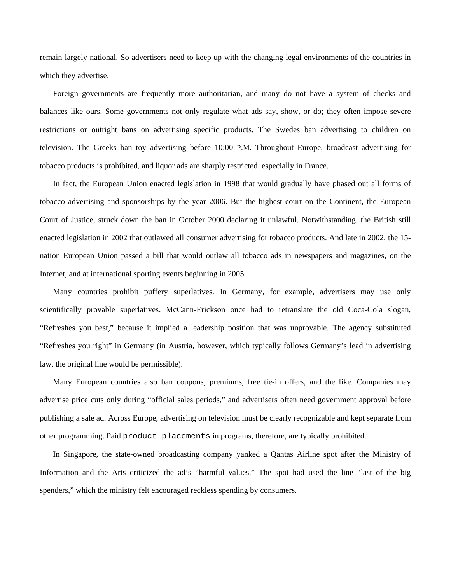remain largely national. So advertisers need to keep up with the changing legal environments of the countries in which they advertise.

Foreign governments are frequently more authoritarian, and many do not have a system of checks and balances like ours. Some governments not only regulate what ads say, show, or do; they often impose severe restrictions or outright bans on advertising specific products. The Swedes ban advertising to children on television. The Greeks ban toy advertising before 10:00 P.M. Throughout Europe, broadcast advertising for tobacco products is prohibited, and liquor ads are sharply restricted, especially in France.

In fact, the European Union enacted legislation in 1998 that would gradually have phased out all forms of tobacco advertising and sponsorships by the year 2006. But the highest court on the Continent, the European Court of Justice, struck down the ban in October 2000 declaring it unlawful. Notwithstanding, the British still enacted legislation in 2002 that outlawed all consumer advertising for tobacco products. And late in 2002, the 15 nation European Union passed a bill that would outlaw all tobacco ads in newspapers and magazines, on the Internet, and at international sporting events beginning in 2005.

Many countries prohibit puffery superlatives. In Germany, for example, advertisers may use only scientifically provable superlatives. McCann-Erickson once had to retranslate the old Coca-Cola slogan, "Refreshes you best," because it implied a leadership position that was unprovable. The agency substituted "Refreshes you right" in Germany (in Austria, however, which typically follows Germany's lead in advertising law, the original line would be permissible).

Many European countries also ban coupons, premiums, free tie-in offers, and the like. Companies may advertise price cuts only during "official sales periods," and advertisers often need government approval before publishing a sale ad. Across Europe, advertising on television must be clearly recognizable and kept separate from other programming. Paid product placements in programs, therefore, are typically prohibited.

In Singapore, the state-owned broadcasting company yanked a Qantas Airline spot after the Ministry of Information and the Arts criticized the ad's "harmful values." The spot had used the line "last of the big spenders," which the ministry felt encouraged reckless spending by consumers.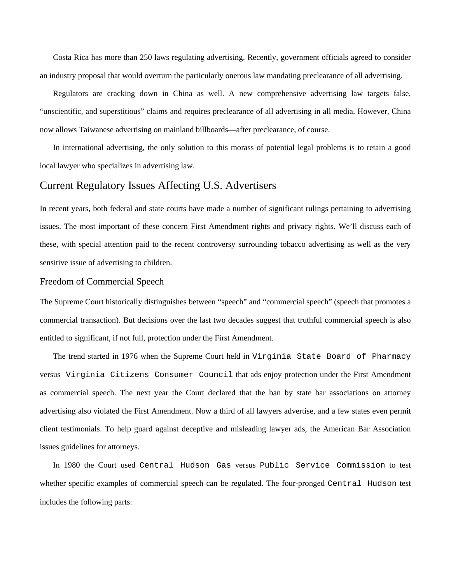Costa Rica has more than 250 laws regulating advertising. Recently, government officials agreed to consider an industry proposal that would overturn the particularly onerous law mandating preclearance of all advertising.

Regulators are cracking down in China as well. A new comprehensive advertising law targets false, "unscientific, and superstitious" claims and requires preclearance of all advertising in all media. However, China now allows Taiwanese advertising on mainland billboards—after preclearance, of course.

In international advertising, the only solution to this morass of potential legal problems is to retain a good local lawyer who specializes in advertising law.

# Current Regulatory Issues Affecting U.S. Advertisers

In recent years, both federal and state courts have made a number of significant rulings pertaining to advertising issues. The most important of these concern First Amendment rights and privacy rights. We'll discuss each of these, with special attention paid to the recent controversy surrounding tobacco advertising as well as the very sensitive issue of advertising to children.

#### Freedom of Commercial Speech

The Supreme Court historically distinguishes between "speech" and "commercial speech" (speech that promotes a commercial transaction). But decisions over the last two decades suggest that truthful commercial speech is also entitled to significant, if not full, protection under the First Amendment.

The trend started in 1976 when the Supreme Court held in Virginia State Board of Pharmacy versus Virginia Citizens Consumer Council that ads enjoy protection under the First Amendment as commercial speech. The next year the Court declared that the ban by state bar associations on attorney advertising also violated the First Amendment. Now a third of all lawyers advertise, and a few states even permit client testimonials. To help guard against deceptive and misleading lawyer ads, the American Bar Association issues guidelines for attorneys.

In 1980 the Court used Central Hudson Gas versus Public Service Commission to test whether specific examples of commercial speech can be regulated. The four-pronged Central Hudson test includes the following parts: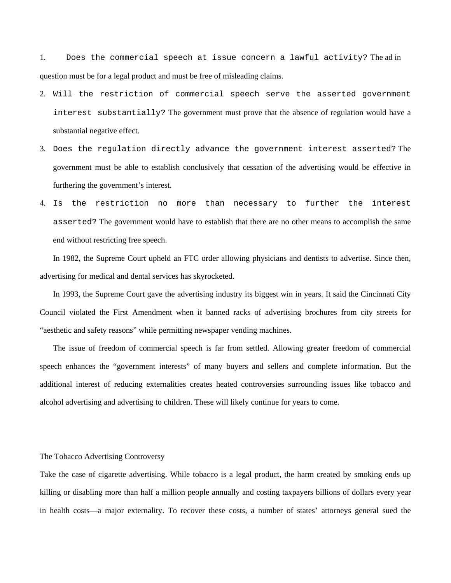1. Does the commercial speech at issue concern a lawful activity? The ad in question must be for a legal product and must be free of misleading claims.

- 2. Will the restriction of commercial speech serve the asserted government interest substantially? The government must prove that the absence of regulation would have a substantial negative effect.
- 3. Does the regulation directly advance the government interest asserted? The government must be able to establish conclusively that cessation of the advertising would be effective in furthering the government's interest.
- 4. Is the restriction no more than necessary to further the interest asserted? The government would have to establish that there are no other means to accomplish the same end without restricting free speech.

In 1982, the Supreme Court upheld an FTC order allowing physicians and dentists to advertise. Since then, advertising for medical and dental services has skyrocketed.

In 1993, the Supreme Court gave the advertising industry its biggest win in years. It said the Cincinnati City Council violated the First Amendment when it banned racks of advertising brochures from city streets for "aesthetic and safety reasons" while permitting newspaper vending machines.

The issue of freedom of commercial speech is far from settled. Allowing greater freedom of commercial speech enhances the "government interests" of many buyers and sellers and complete information. But the additional interest of reducing externalities creates heated controversies surrounding issues like tobacco and alcohol advertising and advertising to children. These will likely continue for years to come.

#### The Tobacco Advertising Controversy

Take the case of cigarette advertising. While tobacco is a legal product, the harm created by smoking ends up killing or disabling more than half a million people annually and costing taxpayers billions of dollars every year in health costs—a major externality. To recover these costs, a number of states' attorneys general sued the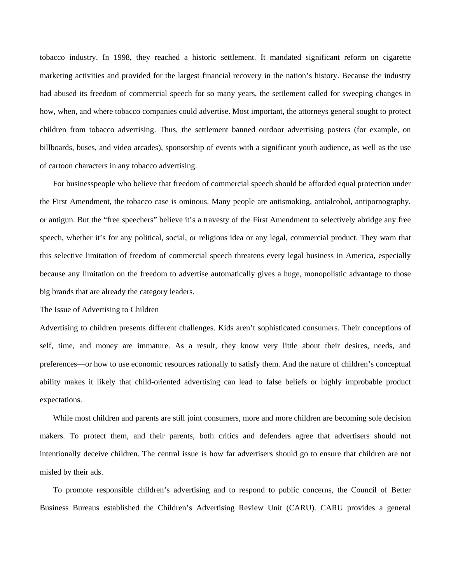tobacco industry. In 1998, they reached a historic settlement. It mandated significant reform on cigarette marketing activities and provided for the largest financial recovery in the nation's history. Because the industry had abused its freedom of commercial speech for so many years, the settlement called for sweeping changes in how, when, and where tobacco companies could advertise. Most important, the attorneys general sought to protect children from tobacco advertising. Thus, the settlement banned outdoor advertising posters (for example, on billboards, buses, and video arcades), sponsorship of events with a significant youth audience, as well as the use of cartoon characters in any tobacco advertising.

For businesspeople who believe that freedom of commercial speech should be afforded equal protection under the First Amendment, the tobacco case is ominous. Many people are antismoking, antialcohol, antipornography, or antigun. But the "free speechers" believe it's a travesty of the First Amendment to selectively abridge any free speech, whether it's for any political, social, or religious idea or any legal, commercial product. They warn that this selective limitation of freedom of commercial speech threatens every legal business in America, especially because any limitation on the freedom to advertise automatically gives a huge, monopolistic advantage to those big brands that are already the category leaders.

#### The Issue of Advertising to Children

Advertising to children presents different challenges. Kids aren't sophisticated consumers. Their conceptions of self, time, and money are immature. As a result, they know very little about their desires, needs, and preferences—or how to use economic resources rationally to satisfy them. And the nature of children's conceptual ability makes it likely that child-oriented advertising can lead to false beliefs or highly improbable product expectations.

While most children and parents are still joint consumers, more and more children are becoming sole decision makers. To protect them, and their parents, both critics and defenders agree that advertisers should not intentionally deceive children. The central issue is how far advertisers should go to ensure that children are not misled by their ads.

To promote responsible children's advertising and to respond to public concerns, the Council of Better Business Bureaus established the Children's Advertising Review Unit (CARU). CARU provides a general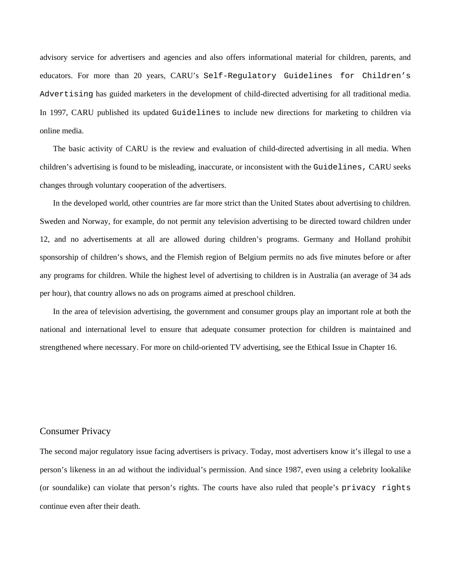advisory service for advertisers and agencies and also offers informational material for children, parents, and educators. For more than 20 years, CARU's Self-Regulatory Guidelines for Children's Advertising has guided marketers in the development of child-directed advertising for all traditional media. In 1997, CARU published its updated Guidelines to include new directions for marketing to children via online media.

The basic activity of CARU is the review and evaluation of child-directed advertising in all media. When children's advertising is found to be misleading, inaccurate, or inconsistent with the Guidelines, CARU seeks changes through voluntary cooperation of the advertisers.

In the developed world, other countries are far more strict than the United States about advertising to children. Sweden and Norway, for example, do not permit any television advertising to be directed toward children under 12, and no advertisements at all are allowed during children's programs. Germany and Holland prohibit sponsorship of children's shows, and the Flemish region of Belgium permits no ads five minutes before or after any programs for children. While the highest level of advertising to children is in Australia (an average of 34 ads per hour), that country allows no ads on programs aimed at preschool children.

In the area of television advertising, the government and consumer groups play an important role at both the national and international level to ensure that adequate consumer protection for children is maintained and strengthened where necessary. For more on child-oriented TV advertising, see the Ethical Issue in Chapter 16.

#### Consumer Privacy

The second major regulatory issue facing advertisers is privacy. Today, most advertisers know it's illegal to use a person's likeness in an ad without the individual's permission. And since 1987, even using a celebrity lookalike (or soundalike) can violate that person's rights. The courts have also ruled that people's privacy rights continue even after their death.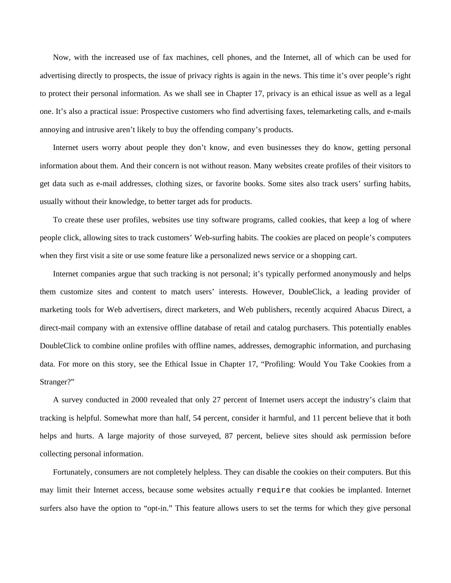Now, with the increased use of fax machines, cell phones, and the Internet, all of which can be used for advertising directly to prospects, the issue of privacy rights is again in the news. This time it's over people's right to protect their personal information. As we shall see in Chapter 17, privacy is an ethical issue as well as a legal one. It's also a practical issue: Prospective customers who find advertising faxes, telemarketing calls, and e-mails annoying and intrusive aren't likely to buy the offending company's products.

Internet users worry about people they don't know, and even businesses they do know, getting personal information about them. And their concern is not without reason. Many websites create profiles of their visitors to get data such as e-mail addresses, clothing sizes, or favorite books. Some sites also track users' surfing habits, usually without their knowledge, to better target ads for products.

To create these user profiles, websites use tiny software programs, called cookies, that keep a log of where people click, allowing sites to track customers' Web-surfing habits. The cookies are placed on people's computers when they first visit a site or use some feature like a personalized news service or a shopping cart.

Internet companies argue that such tracking is not personal; it's typically performed anonymously and helps them customize sites and content to match users' interests. However, DoubleClick, a leading provider of marketing tools for Web advertisers, direct marketers, and Web publishers, recently acquired Abacus Direct, a direct-mail company with an extensive offline database of retail and catalog purchasers. This potentially enables DoubleClick to combine online profiles with offline names, addresses, demographic information, and purchasing data. For more on this story, see the Ethical Issue in Chapter 17, "Profiling: Would You Take Cookies from a Stranger?"

A survey conducted in 2000 revealed that only 27 percent of Internet users accept the industry's claim that tracking is helpful. Somewhat more than half, 54 percent, consider it harmful, and 11 percent believe that it both helps and hurts. A large majority of those surveyed, 87 percent, believe sites should ask permission before collecting personal information.

Fortunately, consumers are not completely helpless. They can disable the cookies on their computers. But this may limit their Internet access, because some websites actually require that cookies be implanted. Internet surfers also have the option to "opt-in." This feature allows users to set the terms for which they give personal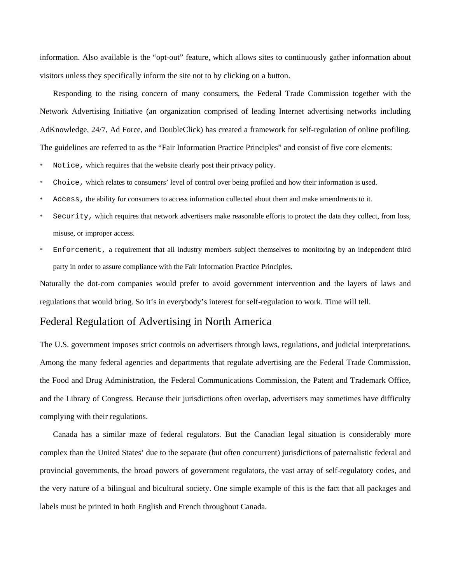information. Also available is the "opt-out" feature, which allows sites to continuously gather information about visitors unless they specifically inform the site not to by clicking on a button.

Responding to the rising concern of many consumers, the Federal Trade Commission together with the Network Advertising Initiative (an organization comprised of leading Internet advertising networks including AdKnowledge, 24/7, Ad Force, and DoubleClick) has created a framework for self-regulation of online profiling. The guidelines are referred to as the "Fair Information Practice Principles" and consist of five core elements:

- Notice, which requires that the website clearly post their privacy policy.
- \* Choice, which relates to consumers' level of control over being profiled and how their information is used.
- Access, the ability for consumers to access information collected about them and make amendments to it.
- Security, which requires that network advertisers make reasonable efforts to protect the data they collect, from loss, misuse, or improper access.
- Enforcement, a requirement that all industry members subject themselves to monitoring by an independent third party in order to assure compliance with the Fair Information Practice Principles.

Naturally the dot-com companies would prefer to avoid government intervention and the layers of laws and regulations that would bring. So it's in everybody's interest for self-regulation to work. Time will tell.

# Federal Regulation of Advertising in North America

The U.S. government imposes strict controls on advertisers through laws, regulations, and judicial interpretations. Among the many federal agencies and departments that regulate advertising are the Federal Trade Commission, the Food and Drug Administration, the Federal Communications Commission, the Patent and Trademark Office, and the Library of Congress. Because their jurisdictions often overlap, advertisers may sometimes have difficulty complying with their regulations.

Canada has a similar maze of federal regulators. But the Canadian legal situation is considerably more complex than the United States' due to the separate (but often concurrent) jurisdictions of paternalistic federal and provincial governments, the broad powers of government regulators, the vast array of self-regulatory codes, and the very nature of a bilingual and bicultural society. One simple example of this is the fact that all packages and labels must be printed in both English and French throughout Canada.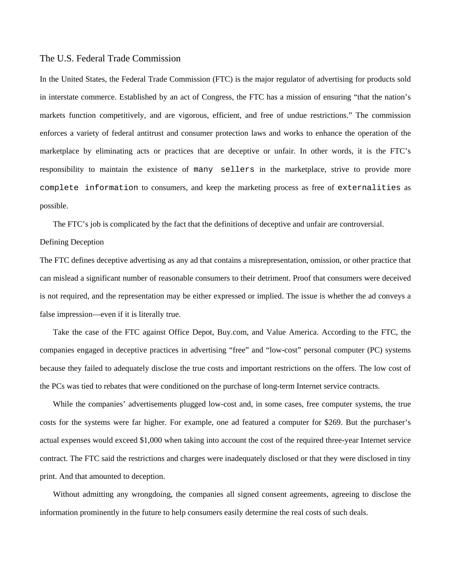#### The U.S. Federal Trade Commission

In the United States, the Federal Trade Commission (FTC) is the major regulator of advertising for products sold in interstate commerce. Established by an act of Congress, the FTC has a mission of ensuring "that the nation's markets function competitively, and are vigorous, efficient, and free of undue restrictions." The commission enforces a variety of federal antitrust and consumer protection laws and works to enhance the operation of the marketplace by eliminating acts or practices that are deceptive or unfair. In other words, it is the FTC's responsibility to maintain the existence of many sellers in the marketplace, strive to provide more complete information to consumers, and keep the marketing process as free of externalities as possible.

The FTC's job is complicated by the fact that the definitions of deceptive and unfair are controversial.

#### Defining Deception

The FTC defines deceptive advertising as any ad that contains a misrepresentation, omission, or other practice that can mislead a significant number of reasonable consumers to their detriment. Proof that consumers were deceived is not required, and the representation may be either expressed or implied. The issue is whether the ad conveys a false impression—even if it is literally true.

Take the case of the FTC against Office Depot, Buy.com, and Value America. According to the FTC, the companies engaged in deceptive practices in advertising "free" and "low-cost" personal computer (PC) systems because they failed to adequately disclose the true costs and important restrictions on the offers. The low cost of the PCs was tied to rebates that were conditioned on the purchase of long-term Internet service contracts.

While the companies' advertisements plugged low-cost and, in some cases, free computer systems, the true costs for the systems were far higher. For example, one ad featured a computer for \$269. But the purchaser's actual expenses would exceed \$1,000 when taking into account the cost of the required three-year Internet service contract. The FTC said the restrictions and charges were inadequately disclosed or that they were disclosed in tiny print. And that amounted to deception.

Without admitting any wrongdoing, the companies all signed consent agreements, agreeing to disclose the information prominently in the future to help consumers easily determine the real costs of such deals.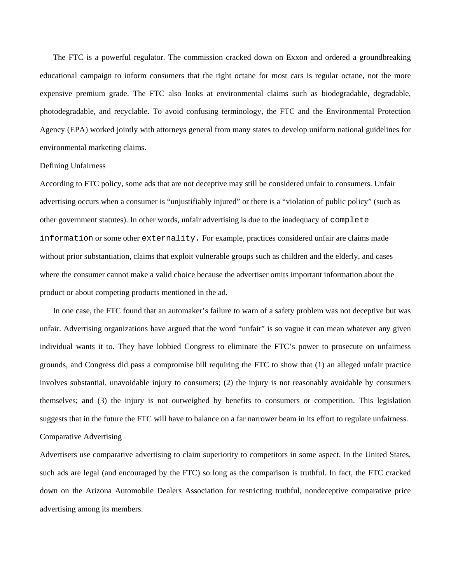The FTC is a powerful regulator. The commission cracked down on Exxon and ordered a groundbreaking educational campaign to inform consumers that the right octane for most cars is regular octane, not the more expensive premium grade. The FTC also looks at environmental claims such as biodegradable, degradable, photodegradable, and recyclable. To avoid confusing terminology, the FTC and the Environmental Protection Agency (EPA) worked jointly with attorneys general from many states to develop uniform national guidelines for environmental marketing claims.

#### Defining Unfairness

According to FTC policy, some ads that are not deceptive may still be considered unfair to consumers. Unfair advertising occurs when a consumer is "unjustifiably injured" or there is a "violation of public policy" (such as other government statutes). In other words, unfair advertising is due to the inadequacy of complete information or some other externality. For example, practices considered unfair are claims made without prior substantiation, claims that exploit vulnerable groups such as children and the elderly, and cases where the consumer cannot make a valid choice because the advertiser omits important information about the product or about competing products mentioned in the ad.

In one case, the FTC found that an automaker's failure to warn of a safety problem was not deceptive but was unfair. Advertising organizations have argued that the word "unfair" is so vague it can mean whatever any given individual wants it to. They have lobbied Congress to eliminate the FTC's power to prosecute on unfairness grounds, and Congress did pass a compromise bill requiring the FTC to show that (1) an alleged unfair practice involves substantial, unavoidable injury to consumers; (2) the injury is not reasonably avoidable by consumers themselves; and (3) the injury is not outweighed by benefits to consumers or competition. This legislation suggests that in the future the FTC will have to balance on a far narrower beam in its effort to regulate unfairness. Comparative Advertising

Advertisers use comparative advertising to claim superiority to competitors in some aspect. In the United States, such ads are legal (and encouraged by the FTC) so long as the comparison is truthful. In fact, the FTC cracked down on the Arizona Automobile Dealers Association for restricting truthful, nondeceptive comparative price advertising among its members.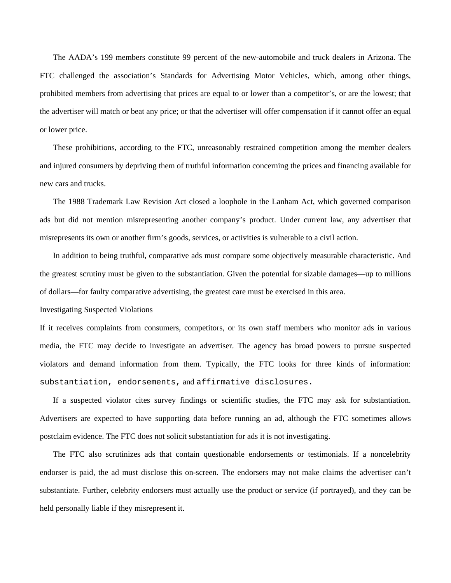The AADA's 199 members constitute 99 percent of the new-automobile and truck dealers in Arizona. The FTC challenged the association's Standards for Advertising Motor Vehicles, which, among other things, prohibited members from advertising that prices are equal to or lower than a competitor's, or are the lowest; that the advertiser will match or beat any price; or that the advertiser will offer compensation if it cannot offer an equal or lower price.

These prohibitions, according to the FTC, unreasonably restrained competition among the member dealers and injured consumers by depriving them of truthful information concerning the prices and financing available for new cars and trucks.

The 1988 Trademark Law Revision Act closed a loophole in the Lanham Act, which governed comparison ads but did not mention misrepresenting another company's product. Under current law, any advertiser that misrepresents its own or another firm's goods, services, or activities is vulnerable to a civil action.

In addition to being truthful, comparative ads must compare some objectively measurable characteristic. And the greatest scrutiny must be given to the substantiation. Given the potential for sizable damages—up to millions of dollars—for faulty comparative advertising, the greatest care must be exercised in this area.

#### Investigating Suspected Violations

If it receives complaints from consumers, competitors, or its own staff members who monitor ads in various media, the FTC may decide to investigate an advertiser. The agency has broad powers to pursue suspected violators and demand information from them. Typically, the FTC looks for three kinds of information: substantiation, endorsements, and affirmative disclosures.

If a suspected violator cites survey findings or scientific studies, the FTC may ask for substantiation. Advertisers are expected to have supporting data before running an ad, although the FTC sometimes allows postclaim evidence. The FTC does not solicit substantiation for ads it is not investigating.

The FTC also scrutinizes ads that contain questionable endorsements or testimonials. If a noncelebrity endorser is paid, the ad must disclose this on-screen. The endorsers may not make claims the advertiser can't substantiate. Further, celebrity endorsers must actually use the product or service (if portrayed), and they can be held personally liable if they misrepresent it.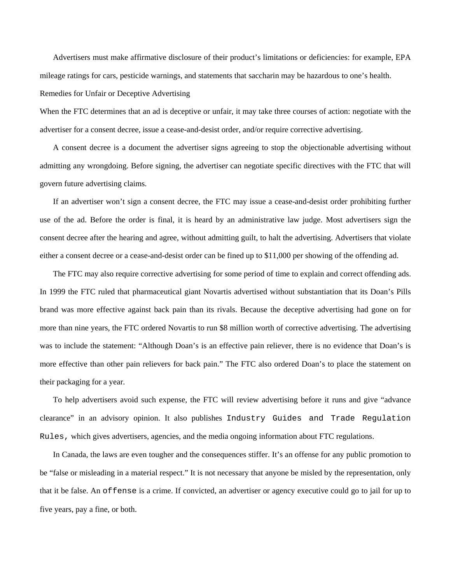Advertisers must make affirmative disclosure of their product's limitations or deficiencies: for example, EPA mileage ratings for cars, pesticide warnings, and statements that saccharin may be hazardous to one's health. Remedies for Unfair or Deceptive Advertising

When the FTC determines that an ad is deceptive or unfair, it may take three courses of action: negotiate with the advertiser for a consent decree, issue a cease-and-desist order, and/or require corrective advertising.

A consent decree is a document the advertiser signs agreeing to stop the objectionable advertising without admitting any wrongdoing. Before signing, the advertiser can negotiate specific directives with the FTC that will govern future advertising claims.

If an advertiser won't sign a consent decree, the FTC may issue a cease-and-desist order prohibiting further use of the ad. Before the order is final, it is heard by an administrative law judge. Most advertisers sign the consent decree after the hearing and agree, without admitting guilt, to halt the advertising. Advertisers that violate either a consent decree or a cease-and-desist order can be fined up to \$11,000 per showing of the offending ad.

The FTC may also require corrective advertising for some period of time to explain and correct offending ads. In 1999 the FTC ruled that pharmaceutical giant Novartis advertised without substantiation that its Doan's Pills brand was more effective against back pain than its rivals. Because the deceptive advertising had gone on for more than nine years, the FTC ordered Novartis to run \$8 million worth of corrective advertising. The advertising was to include the statement: "Although Doan's is an effective pain reliever, there is no evidence that Doan's is more effective than other pain relievers for back pain." The FTC also ordered Doan's to place the statement on their packaging for a year.

To help advertisers avoid such expense, the FTC will review advertising before it runs and give "advance clearance" in an advisory opinion. It also publishes Industry Guides and Trade Regulation Rules, which gives advertisers, agencies, and the media ongoing information about FTC regulations.

In Canada, the laws are even tougher and the consequences stiffer. It's an offense for any public promotion to be "false or misleading in a material respect." It is not necessary that anyone be misled by the representation, only that it be false. An offense is a crime. If convicted, an advertiser or agency executive could go to jail for up to five years, pay a fine, or both.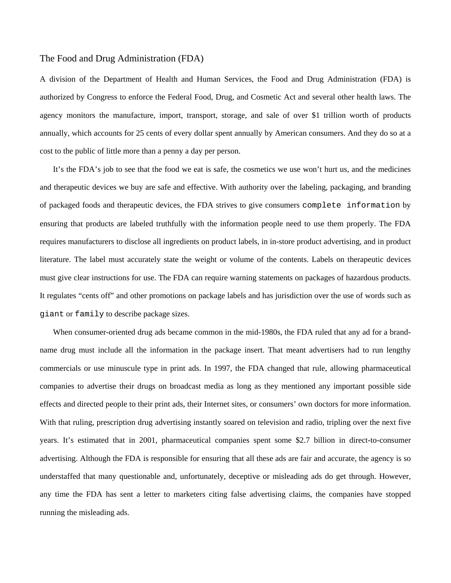#### The Food and Drug Administration (FDA)

A division of the Department of Health and Human Services, the Food and Drug Administration (FDA) is authorized by Congress to enforce the Federal Food, Drug, and Cosmetic Act and several other health laws. The agency monitors the manufacture, import, transport, storage, and sale of over \$1 trillion worth of products annually, which accounts for 25 cents of every dollar spent annually by American consumers. And they do so at a cost to the public of little more than a penny a day per person.

It's the FDA's job to see that the food we eat is safe, the cosmetics we use won't hurt us, and the medicines and therapeutic devices we buy are safe and effective. With authority over the labeling, packaging, and branding of packaged foods and therapeutic devices, the FDA strives to give consumers complete information by ensuring that products are labeled truthfully with the information people need to use them properly. The FDA requires manufacturers to disclose all ingredients on product labels, in in-store product advertising, and in product literature. The label must accurately state the weight or volume of the contents. Labels on therapeutic devices must give clear instructions for use. The FDA can require warning statements on packages of hazardous products. It regulates "cents off" and other promotions on package labels and has jurisdiction over the use of words such as giant or family to describe package sizes.

When consumer-oriented drug ads became common in the mid-1980s, the FDA ruled that any ad for a brandname drug must include all the information in the package insert. That meant advertisers had to run lengthy commercials or use minuscule type in print ads. In 1997, the FDA changed that rule, allowing pharmaceutical companies to advertise their drugs on broadcast media as long as they mentioned any important possible side effects and directed people to their print ads, their Internet sites, or consumers' own doctors for more information. With that ruling, prescription drug advertising instantly soared on television and radio, tripling over the next five years. It's estimated that in 2001, pharmaceutical companies spent some \$2.7 billion in direct-to-consumer advertising. Although the FDA is responsible for ensuring that all these ads are fair and accurate, the agency is so understaffed that many questionable and, unfortunately, deceptive or misleading ads do get through. However, any time the FDA has sent a letter to marketers citing false advertising claims, the companies have stopped running the misleading ads.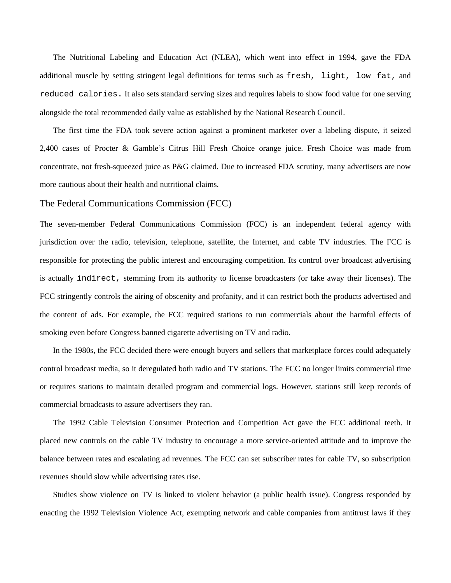The Nutritional Labeling and Education Act (NLEA), which went into effect in 1994, gave the FDA additional muscle by setting stringent legal definitions for terms such as fresh, light, low fat, and reduced calories. It also sets standard serving sizes and requires labels to show food value for one serving alongside the total recommended daily value as established by the National Research Council.

The first time the FDA took severe action against a prominent marketer over a labeling dispute, it seized 2,400 cases of Procter & Gamble's Citrus Hill Fresh Choice orange juice. Fresh Choice was made from concentrate, not fresh-squeezed juice as P&G claimed. Due to increased FDA scrutiny, many advertisers are now more cautious about their health and nutritional claims.

#### The Federal Communications Commission (FCC)

The seven-member Federal Communications Commission (FCC) is an independent federal agency with jurisdiction over the radio, television, telephone, satellite, the Internet, and cable TV industries. The FCC is responsible for protecting the public interest and encouraging competition. Its control over broadcast advertising is actually indirect, stemming from its authority to license broadcasters (or take away their licenses). The FCC stringently controls the airing of obscenity and profanity, and it can restrict both the products advertised and the content of ads. For example, the FCC required stations to run commercials about the harmful effects of smoking even before Congress banned cigarette advertising on TV and radio.

In the 1980s, the FCC decided there were enough buyers and sellers that marketplace forces could adequately control broadcast media, so it deregulated both radio and TV stations. The FCC no longer limits commercial time or requires stations to maintain detailed program and commercial logs. However, stations still keep records of commercial broadcasts to assure advertisers they ran.

The 1992 Cable Television Consumer Protection and Competition Act gave the FCC additional teeth. It placed new controls on the cable TV industry to encourage a more service-oriented attitude and to improve the balance between rates and escalating ad revenues. The FCC can set subscriber rates for cable TV, so subscription revenues should slow while advertising rates rise.

Studies show violence on TV is linked to violent behavior (a public health issue). Congress responded by enacting the 1992 Television Violence Act, exempting network and cable companies from antitrust laws if they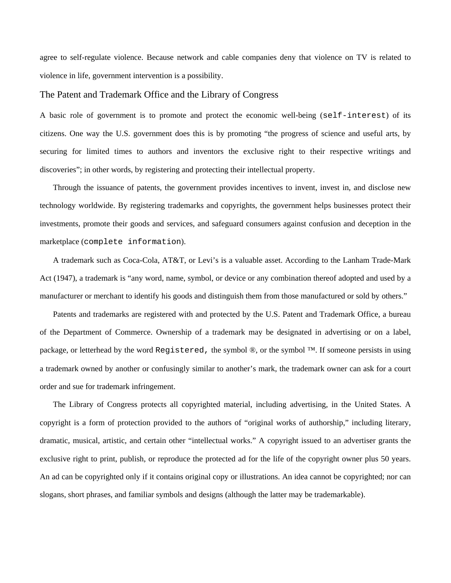agree to self-regulate violence. Because network and cable companies deny that violence on TV is related to violence in life, government intervention is a possibility.

#### The Patent and Trademark Office and the Library of Congress

A basic role of government is to promote and protect the economic well-being (self-interest) of its citizens. One way the U.S. government does this is by promoting "the progress of science and useful arts, by securing for limited times to authors and inventors the exclusive right to their respective writings and discoveries"; in other words, by registering and protecting their intellectual property.

Through the issuance of patents, the government provides incentives to invent, invest in, and disclose new technology worldwide. By registering trademarks and copyrights, the government helps businesses protect their investments, promote their goods and services, and safeguard consumers against confusion and deception in the marketplace (complete information).

A trademark such as Coca-Cola, AT&T, or Levi's is a valuable asset. According to the Lanham Trade-Mark Act (1947), a trademark is "any word, name, symbol, or device or any combination thereof adopted and used by a manufacturer or merchant to identify his goods and distinguish them from those manufactured or sold by others."

Patents and trademarks are registered with and protected by the U.S. Patent and Trademark Office, a bureau of the Department of Commerce. Ownership of a trademark may be designated in advertising or on a label, package, or letterhead by the word Registered, the symbol ®, or the symbol ™. If someone persists in using a trademark owned by another or confusingly similar to another's mark, the trademark owner can ask for a court order and sue for trademark infringement.

The Library of Congress protects all copyrighted material, including advertising, in the United States. A copyright is a form of protection provided to the authors of "original works of authorship," including literary, dramatic, musical, artistic, and certain other "intellectual works." A copyright issued to an advertiser grants the exclusive right to print, publish, or reproduce the protected ad for the life of the copyright owner plus 50 years. An ad can be copyrighted only if it contains original copy or illustrations. An idea cannot be copyrighted; nor can slogans, short phrases, and familiar symbols and designs (although the latter may be trademarkable).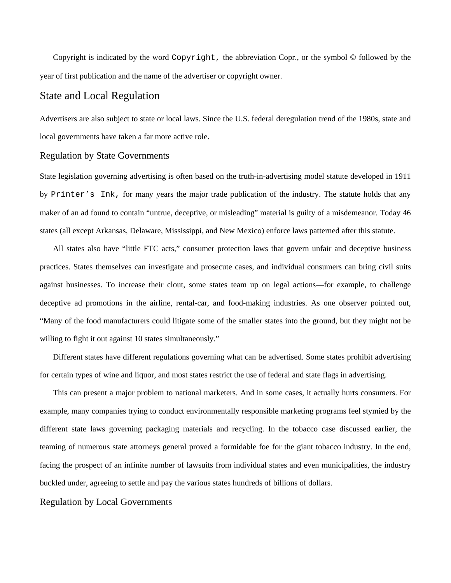Copyright is indicated by the word Copyright, the abbreviation Copr., or the symbol © followed by the year of first publication and the name of the advertiser or copyright owner.

#### State and Local Regulation

Advertisers are also subject to state or local laws. Since the U.S. federal deregulation trend of the 1980s, state and local governments have taken a far more active role.

#### Regulation by State Governments

State legislation governing advertising is often based on the truth-in-advertising model statute developed in 1911 by Printer's Ink, for many years the major trade publication of the industry. The statute holds that any maker of an ad found to contain "untrue, deceptive, or misleading" material is guilty of a misdemeanor. Today 46 states (all except Arkansas, Delaware, Mississippi, and New Mexico) enforce laws patterned after this statute.

All states also have "little FTC acts," consumer protection laws that govern unfair and deceptive business practices. States themselves can investigate and prosecute cases, and individual consumers can bring civil suits against businesses. To increase their clout, some states team up on legal actions—for example, to challenge deceptive ad promotions in the airline, rental-car, and food-making industries. As one observer pointed out, "Many of the food manufacturers could litigate some of the smaller states into the ground, but they might not be willing to fight it out against 10 states simultaneously."

Different states have different regulations governing what can be advertised. Some states prohibit advertising for certain types of wine and liquor, and most states restrict the use of federal and state flags in advertising.

This can present a major problem to national marketers. And in some cases, it actually hurts consumers. For example, many companies trying to conduct environmentally responsible marketing programs feel stymied by the different state laws governing packaging materials and recycling. In the tobacco case discussed earlier, the teaming of numerous state attorneys general proved a formidable foe for the giant tobacco industry. In the end, facing the prospect of an infinite number of lawsuits from individual states and even municipalities, the industry buckled under, agreeing to settle and pay the various states hundreds of billions of dollars.

#### Regulation by Local Governments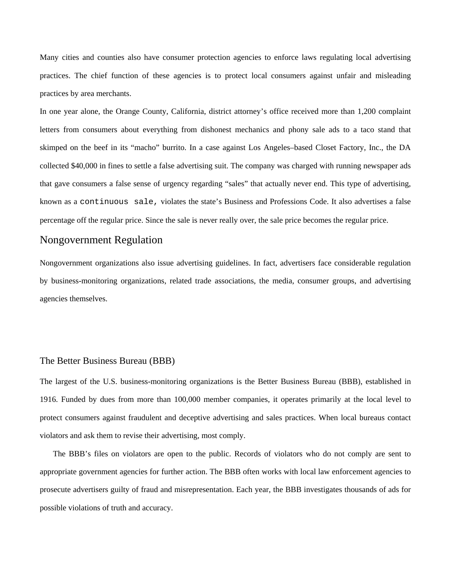Many cities and counties also have consumer protection agencies to enforce laws regulating local advertising practices. The chief function of these agencies is to protect local consumers against unfair and misleading practices by area merchants.

In one year alone, the Orange County, California, district attorney's office received more than 1,200 complaint letters from consumers about everything from dishonest mechanics and phony sale ads to a taco stand that skimped on the beef in its "macho" burrito. In a case against Los Angeles–based Closet Factory, Inc., the DA collected \$40,000 in fines to settle a false advertising suit. The company was charged with running newspaper ads that gave consumers a false sense of urgency regarding "sales" that actually never end. This type of advertising, known as a continuous sale, violates the state's Business and Professions Code. It also advertises a false percentage off the regular price. Since the sale is never really over, the sale price becomes the regular price.

## Nongovernment Regulation

Nongovernment organizations also issue advertising guidelines. In fact, advertisers face considerable regulation by business-monitoring organizations, related trade associations, the media, consumer groups, and advertising agencies themselves.

#### The Better Business Bureau (BBB)

The largest of the U.S. business-monitoring organizations is the Better Business Bureau (BBB), established in 1916. Funded by dues from more than 100,000 member companies, it operates primarily at the local level to protect consumers against fraudulent and deceptive advertising and sales practices. When local bureaus contact violators and ask them to revise their advertising, most comply.

The BBB's files on violators are open to the public. Records of violators who do not comply are sent to appropriate government agencies for further action. The BBB often works with local law enforcement agencies to prosecute advertisers guilty of fraud and misrepresentation. Each year, the BBB investigates thousands of ads for possible violations of truth and accuracy.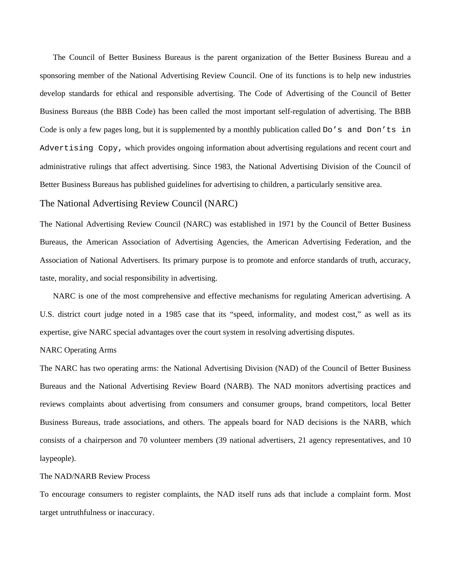The Council of Better Business Bureaus is the parent organization of the Better Business Bureau and a sponsoring member of the National Advertising Review Council. One of its functions is to help new industries develop standards for ethical and responsible advertising. The Code of Advertising of the Council of Better Business Bureaus (the BBB Code) has been called the most important self-regulation of advertising. The BBB Code is only a few pages long, but it is supplemented by a monthly publication called Do's and Don'ts in Advertising Copy, which provides ongoing information about advertising regulations and recent court and administrative rulings that affect advertising. Since 1983, the National Advertising Division of the Council of Better Business Bureaus has published guidelines for advertising to children, a particularly sensitive area.

#### The National Advertising Review Council (NARC)

The National Advertising Review Council (NARC) was established in 1971 by the Council of Better Business Bureaus, the American Association of Advertising Agencies, the American Advertising Federation, and the Association of National Advertisers. Its primary purpose is to promote and enforce standards of truth, accuracy, taste, morality, and social responsibility in advertising.

NARC is one of the most comprehensive and effective mechanisms for regulating American advertising. A U.S. district court judge noted in a 1985 case that its "speed, informality, and modest cost," as well as its expertise, give NARC special advantages over the court system in resolving advertising disputes.

#### NARC Operating Arms

The NARC has two operating arms: the National Advertising Division (NAD) of the Council of Better Business Bureaus and the National Advertising Review Board (NARB). The NAD monitors advertising practices and reviews complaints about advertising from consumers and consumer groups, brand competitors, local Better Business Bureaus, trade associations, and others. The appeals board for NAD decisions is the NARB, which consists of a chairperson and 70 volunteer members (39 national advertisers, 21 agency representatives, and 10 laypeople).

#### The NAD/NARB Review Process

To encourage consumers to register complaints, the NAD itself runs ads that include a complaint form. Most target untruthfulness or inaccuracy.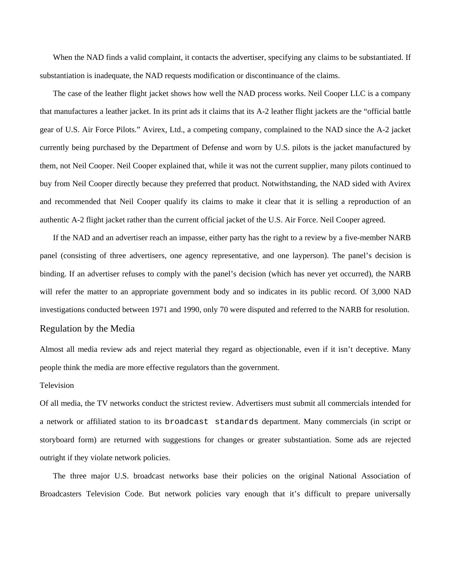When the NAD finds a valid complaint, it contacts the advertiser, specifying any claims to be substantiated. If substantiation is inadequate, the NAD requests modification or discontinuance of the claims.

The case of the leather flight jacket shows how well the NAD process works. Neil Cooper LLC is a company that manufactures a leather jacket. In its print ads it claims that its A-2 leather flight jackets are the "official battle gear of U.S. Air Force Pilots." Avirex, Ltd., a competing company, complained to the NAD since the A-2 jacket currently being purchased by the Department of Defense and worn by U.S. pilots is the jacket manufactured by them, not Neil Cooper. Neil Cooper explained that, while it was not the current supplier, many pilots continued to buy from Neil Cooper directly because they preferred that product. Notwithstanding, the NAD sided with Avirex and recommended that Neil Cooper qualify its claims to make it clear that it is selling a reproduction of an authentic A-2 flight jacket rather than the current official jacket of the U.S. Air Force. Neil Cooper agreed.

If the NAD and an advertiser reach an impasse, either party has the right to a review by a five-member NARB panel (consisting of three advertisers, one agency representative, and one layperson). The panel's decision is binding. If an advertiser refuses to comply with the panel's decision (which has never yet occurred), the NARB will refer the matter to an appropriate government body and so indicates in its public record. Of 3,000 NAD investigations conducted between 1971 and 1990, only 70 were disputed and referred to the NARB for resolution.

#### Regulation by the Media

Almost all media review ads and reject material they regard as objectionable, even if it isn't deceptive. Many people think the media are more effective regulators than the government.

#### Television

Of all media, the TV networks conduct the strictest review. Advertisers must submit all commercials intended for a network or affiliated station to its broadcast standards department. Many commercials (in script or storyboard form) are returned with suggestions for changes or greater substantiation. Some ads are rejected outright if they violate network policies.

The three major U.S. broadcast networks base their policies on the original National Association of Broadcasters Television Code. But network policies vary enough that it's difficult to prepare universally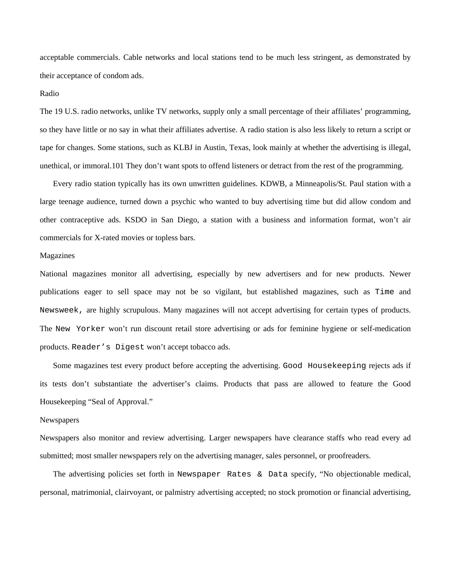acceptable commercials. Cable networks and local stations tend to be much less stringent, as demonstrated by their acceptance of condom ads.

#### Radio

The 19 U.S. radio networks, unlike TV networks, supply only a small percentage of their affiliates' programming, so they have little or no say in what their affiliates advertise. A radio station is also less likely to return a script or tape for changes. Some stations, such as KLBJ in Austin, Texas, look mainly at whether the advertising is illegal, unethical, or immoral.101 They don't want spots to offend listeners or detract from the rest of the programming.

Every radio station typically has its own unwritten guidelines. KDWB, a Minneapolis/St. Paul station with a large teenage audience, turned down a psychic who wanted to buy advertising time but did allow condom and other contraceptive ads. KSDO in San Diego, a station with a business and information format, won't air commercials for X-rated movies or topless bars.

#### Magazines

National magazines monitor all advertising, especially by new advertisers and for new products. Newer publications eager to sell space may not be so vigilant, but established magazines, such as Time and Newsweek, are highly scrupulous. Many magazines will not accept advertising for certain types of products. The New Yorker won't run discount retail store advertising or ads for feminine hygiene or self-medication products. Reader's Digest won't accept tobacco ads.

Some magazines test every product before accepting the advertising. Good Housekeeping rejects ads if its tests don't substantiate the advertiser's claims. Products that pass are allowed to feature the Good Housekeeping "Seal of Approval."

#### Newspapers

Newspapers also monitor and review advertising. Larger newspapers have clearance staffs who read every ad submitted; most smaller newspapers rely on the advertising manager, sales personnel, or proofreaders.

The advertising policies set forth in Newspaper Rates & Data specify, "No objectionable medical, personal, matrimonial, clairvoyant, or palmistry advertising accepted; no stock promotion or financial advertising,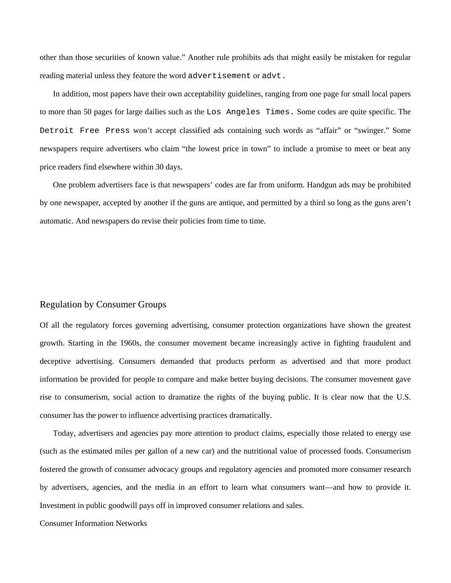other than those securities of known value." Another rule prohibits ads that might easily be mistaken for regular reading material unless they feature the word advertisement or advt.

In addition, most papers have their own acceptability guidelines, ranging from one page for small local papers to more than 50 pages for large dailies such as the Los Angeles Times. Some codes are quite specific. The Detroit Free Press won't accept classified ads containing such words as "affair" or "swinger." Some newspapers require advertisers who claim "the lowest price in town" to include a promise to meet or beat any price readers find elsewhere within 30 days.

One problem advertisers face is that newspapers' codes are far from uniform. Handgun ads may be prohibited by one newspaper, accepted by another if the guns are antique, and permitted by a third so long as the guns aren't automatic. And newspapers do revise their policies from time to time.

#### Regulation by Consumer Groups

Of all the regulatory forces governing advertising, consumer protection organizations have shown the greatest growth. Starting in the 1960s, the consumer movement became increasingly active in fighting fraudulent and deceptive advertising. Consumers demanded that products perform as advertised and that more product information be provided for people to compare and make better buying decisions. The consumer movement gave rise to consumerism, social action to dramatize the rights of the buying public. It is clear now that the U.S. consumer has the power to influence advertising practices dramatically.

Today, advertisers and agencies pay more attention to product claims, especially those related to energy use (such as the estimated miles per gallon of a new car) and the nutritional value of processed foods. Consumerism fostered the growth of consumer advocacy groups and regulatory agencies and promoted more consumer research by advertisers, agencies, and the media in an effort to learn what consumers want—and how to provide it. Investment in public goodwill pays off in improved consumer relations and sales.

Consumer Information Networks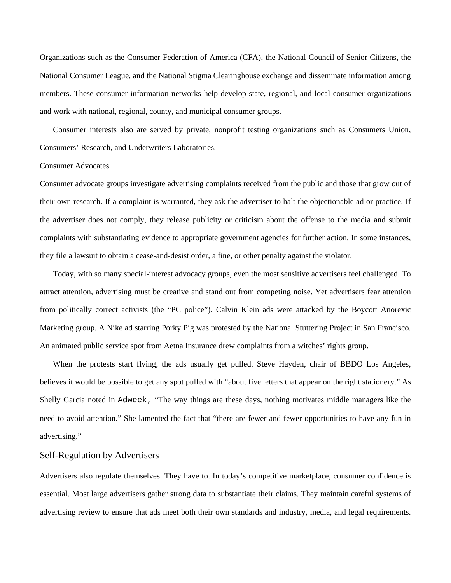Organizations such as the Consumer Federation of America (CFA), the National Council of Senior Citizens, the National Consumer League, and the National Stigma Clearinghouse exchange and disseminate information among members. These consumer information networks help develop state, regional, and local consumer organizations and work with national, regional, county, and municipal consumer groups.

Consumer interests also are served by private, nonprofit testing organizations such as Consumers Union, Consumers' Research, and Underwriters Laboratories.

#### Consumer Advocates

Consumer advocate groups investigate advertising complaints received from the public and those that grow out of their own research. If a complaint is warranted, they ask the advertiser to halt the objectionable ad or practice. If the advertiser does not comply, they release publicity or criticism about the offense to the media and submit complaints with substantiating evidence to appropriate government agencies for further action. In some instances, they file a lawsuit to obtain a cease-and-desist order, a fine, or other penalty against the violator.

Today, with so many special-interest advocacy groups, even the most sensitive advertisers feel challenged. To attract attention, advertising must be creative and stand out from competing noise. Yet advertisers fear attention from politically correct activists (the "PC police"). Calvin Klein ads were attacked by the Boycott Anorexic Marketing group. A Nike ad starring Porky Pig was protested by the National Stuttering Project in San Francisco. An animated public service spot from Aetna Insurance drew complaints from a witches' rights group.

When the protests start flying, the ads usually get pulled. Steve Hayden, chair of BBDO Los Angeles, believes it would be possible to get any spot pulled with "about five letters that appear on the right stationery." As Shelly Garcia noted in Adweek, "The way things are these days, nothing motivates middle managers like the need to avoid attention." She lamented the fact that "there are fewer and fewer opportunities to have any fun in advertising."

#### Self-Regulation by Advertisers

Advertisers also regulate themselves. They have to. In today's competitive marketplace, consumer confidence is essential. Most large advertisers gather strong data to substantiate their claims. They maintain careful systems of advertising review to ensure that ads meet both their own standards and industry, media, and legal requirements.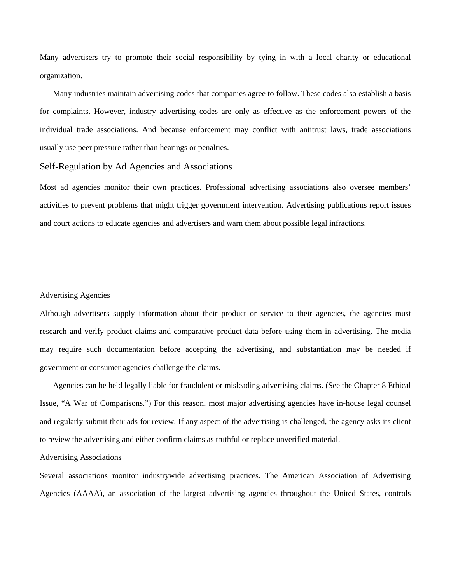Many advertisers try to promote their social responsibility by tying in with a local charity or educational organization.

Many industries maintain advertising codes that companies agree to follow. These codes also establish a basis for complaints. However, industry advertising codes are only as effective as the enforcement powers of the individual trade associations. And because enforcement may conflict with antitrust laws, trade associations usually use peer pressure rather than hearings or penalties.

#### Self-Regulation by Ad Agencies and Associations

Most ad agencies monitor their own practices. Professional advertising associations also oversee members' activities to prevent problems that might trigger government intervention. Advertising publications report issues and court actions to educate agencies and advertisers and warn them about possible legal infractions.

#### Advertising Agencies

Although advertisers supply information about their product or service to their agencies, the agencies must research and verify product claims and comparative product data before using them in advertising. The media may require such documentation before accepting the advertising, and substantiation may be needed if government or consumer agencies challenge the claims.

Agencies can be held legally liable for fraudulent or misleading advertising claims. (See the Chapter 8 Ethical Issue, "A War of Comparisons.") For this reason, most major advertising agencies have in-house legal counsel and regularly submit their ads for review. If any aspect of the advertising is challenged, the agency asks its client to review the advertising and either confirm claims as truthful or replace unverified material.

#### Advertising Associations

Several associations monitor industrywide advertising practices. The American Association of Advertising Agencies (AAAA), an association of the largest advertising agencies throughout the United States, controls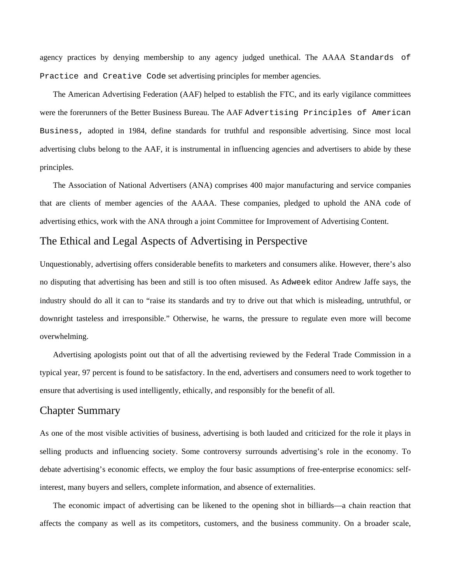agency practices by denying membership to any agency judged unethical. The AAAA Standards of Practice and Creative Code set advertising principles for member agencies.

The American Advertising Federation (AAF) helped to establish the FTC, and its early vigilance committees were the forerunners of the Better Business Bureau. The AAF Advertising Principles of American Business, adopted in 1984, define standards for truthful and responsible advertising. Since most local advertising clubs belong to the AAF, it is instrumental in influencing agencies and advertisers to abide by these principles.

The Association of National Advertisers (ANA) comprises 400 major manufacturing and service companies that are clients of member agencies of the AAAA. These companies, pledged to uphold the ANA code of advertising ethics, work with the ANA through a joint Committee for Improvement of Advertising Content.

# The Ethical and Legal Aspects of Advertising in Perspective

Unquestionably, advertising offers considerable benefits to marketers and consumers alike. However, there's also no disputing that advertising has been and still is too often misused. As Adweek editor Andrew Jaffe says, the industry should do all it can to "raise its standards and try to drive out that which is misleading, untruthful, or downright tasteless and irresponsible." Otherwise, he warns, the pressure to regulate even more will become overwhelming.

Advertising apologists point out that of all the advertising reviewed by the Federal Trade Commission in a typical year, 97 percent is found to be satisfactory. In the end, advertisers and consumers need to work together to ensure that advertising is used intelligently, ethically, and responsibly for the benefit of all.

# Chapter Summary

As one of the most visible activities of business, advertising is both lauded and criticized for the role it plays in selling products and influencing society. Some controversy surrounds advertising's role in the economy. To debate advertising's economic effects, we employ the four basic assumptions of free-enterprise economics: selfinterest, many buyers and sellers, complete information, and absence of externalities.

The economic impact of advertising can be likened to the opening shot in billiards—a chain reaction that affects the company as well as its competitors, customers, and the business community. On a broader scale,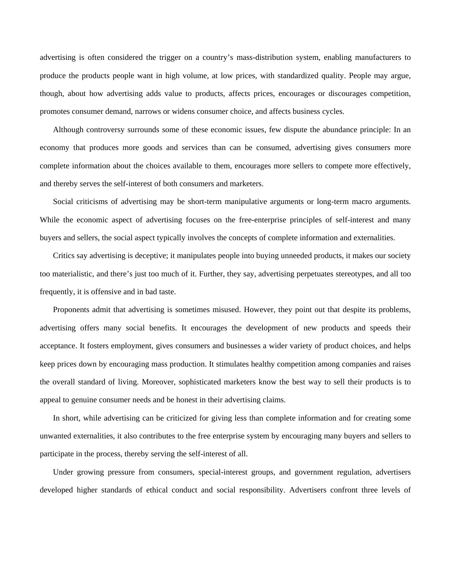advertising is often considered the trigger on a country's mass-distribution system, enabling manufacturers to produce the products people want in high volume, at low prices, with standardized quality. People may argue, though, about how advertising adds value to products, affects prices, encourages or discourages competition, promotes consumer demand, narrows or widens consumer choice, and affects business cycles.

Although controversy surrounds some of these economic issues, few dispute the abundance principle: In an economy that produces more goods and services than can be consumed, advertising gives consumers more complete information about the choices available to them, encourages more sellers to compete more effectively, and thereby serves the self-interest of both consumers and marketers.

Social criticisms of advertising may be short-term manipulative arguments or long-term macro arguments. While the economic aspect of advertising focuses on the free-enterprise principles of self-interest and many buyers and sellers, the social aspect typically involves the concepts of complete information and externalities.

Critics say advertising is deceptive; it manipulates people into buying unneeded products, it makes our society too materialistic, and there's just too much of it. Further, they say, advertising perpetuates stereotypes, and all too frequently, it is offensive and in bad taste.

Proponents admit that advertising is sometimes misused. However, they point out that despite its problems, advertising offers many social benefits. It encourages the development of new products and speeds their acceptance. It fosters employment, gives consumers and businesses a wider variety of product choices, and helps keep prices down by encouraging mass production. It stimulates healthy competition among companies and raises the overall standard of living. Moreover, sophisticated marketers know the best way to sell their products is to appeal to genuine consumer needs and be honest in their advertising claims.

In short, while advertising can be criticized for giving less than complete information and for creating some unwanted externalities, it also contributes to the free enterprise system by encouraging many buyers and sellers to participate in the process, thereby serving the self-interest of all.

Under growing pressure from consumers, special-interest groups, and government regulation, advertisers developed higher standards of ethical conduct and social responsibility. Advertisers confront three levels of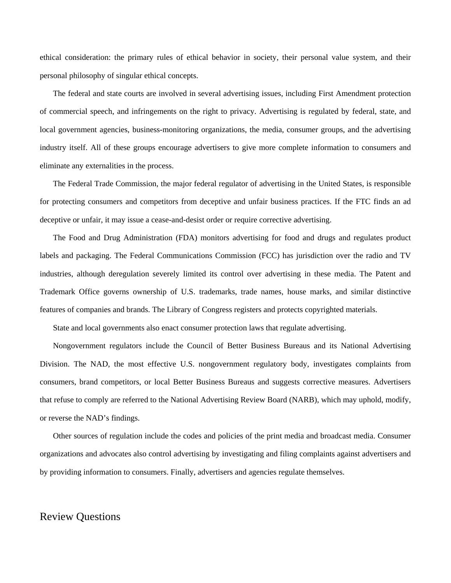ethical consideration: the primary rules of ethical behavior in society, their personal value system, and their personal philosophy of singular ethical concepts.

The federal and state courts are involved in several advertising issues, including First Amendment protection of commercial speech, and infringements on the right to privacy. Advertising is regulated by federal, state, and local government agencies, business-monitoring organizations, the media, consumer groups, and the advertising industry itself. All of these groups encourage advertisers to give more complete information to consumers and eliminate any externalities in the process.

The Federal Trade Commission, the major federal regulator of advertising in the United States, is responsible for protecting consumers and competitors from deceptive and unfair business practices. If the FTC finds an ad deceptive or unfair, it may issue a cease-and-desist order or require corrective advertising.

The Food and Drug Administration (FDA) monitors advertising for food and drugs and regulates product labels and packaging. The Federal Communications Commission (FCC) has jurisdiction over the radio and TV industries, although deregulation severely limited its control over advertising in these media. The Patent and Trademark Office governs ownership of U.S. trademarks, trade names, house marks, and similar distinctive features of companies and brands. The Library of Congress registers and protects copyrighted materials.

State and local governments also enact consumer protection laws that regulate advertising.

Nongovernment regulators include the Council of Better Business Bureaus and its National Advertising Division. The NAD, the most effective U.S. nongovernment regulatory body, investigates complaints from consumers, brand competitors, or local Better Business Bureaus and suggests corrective measures. Advertisers that refuse to comply are referred to the National Advertising Review Board (NARB), which may uphold, modify, or reverse the NAD's findings.

Other sources of regulation include the codes and policies of the print media and broadcast media. Consumer organizations and advocates also control advertising by investigating and filing complaints against advertisers and by providing information to consumers. Finally, advertisers and agencies regulate themselves.

# Review Questions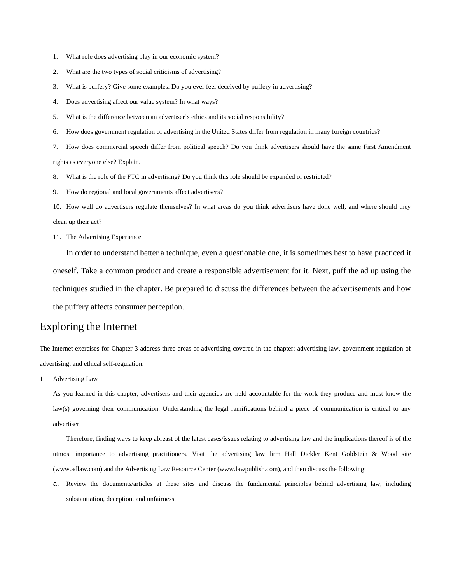- 1. What role does advertising play in our economic system?
- 2. What are the two types of social criticisms of advertising?
- 3. What is puffery? Give some examples. Do you ever feel deceived by puffery in advertising?
- 4. Does advertising affect our value system? In what ways?
- 5. What is the difference between an advertiser's ethics and its social responsibility?
- 6. How does government regulation of advertising in the United States differ from regulation in many foreign countries?

 7. How does commercial speech differ from political speech? Do you think advertisers should have the same First Amendment rights as everyone else? Explain.

- 8. What is the role of the FTC in advertising? Do you think this role should be expanded or restricted?
- 9. How do regional and local governments affect advertisers?

 10. How well do advertisers regulate themselves? In what areas do you think advertisers have done well, and where should they clean up their act?

11. The Advertising Experience

 In order to understand better a technique, even a questionable one, it is sometimes best to have practiced it oneself. Take a common product and create a responsible advertisement for it. Next, puff the ad up using the techniques studied in the chapter. Be prepared to discuss the differences between the advertisements and how the puffery affects consumer perception.

# Exploring the Internet

The Internet exercises for Chapter 3 address three areas of advertising covered in the chapter: advertising law, government regulation of advertising, and ethical self-regulation.

1. Advertising Law

As you learned in this chapter, advertisers and their agencies are held accountable for the work they produce and must know the law(s) governing their communication. Understanding the legal ramifications behind a piece of communication is critical to any advertiser.

Therefore, finding ways to keep abreast of the latest cases/issues relating to advertising law and the implications thereof is of the utmost importance to advertising practitioners. Visit the advertising law firm Hall Dickler Kent Goldstein & Wood site (www.adlaw.com) and the Advertising Law Resource Center (www.lawpublish.com), and then discuss the following:

a. Review the documents/articles at these sites and discuss the fundamental principles behind advertising law, including substantiation, deception, and unfairness.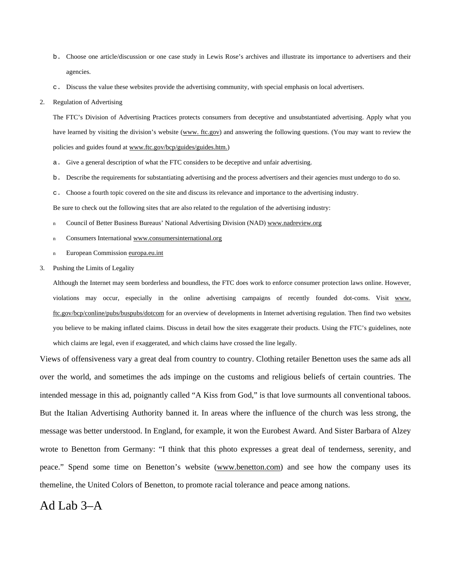- b. Choose one article/discussion or one case study in Lewis Rose's archives and illustrate its importance to advertisers and their agencies.
- c. Discuss the value these websites provide the advertising community, with special emphasis on local advertisers.
- 2. Regulation of Advertising

The FTC's Division of Advertising Practices protects consumers from deceptive and unsubstantiated advertising. Apply what you have learned by visiting the division's website (www. ftc.gov) and answering the following questions. (You may want to review the policies and guides found at www.ftc.gov/bcp/guides/guides.htm.)

- a. Give a general description of what the FTC considers to be deceptive and unfair advertising.
- b. Describe the requirements for substantiating advertising and the process advertisers and their agencies must undergo to do so.
- c. Choose a fourth topic covered on the site and discuss its relevance and importance to the advertising industry.

Be sure to check out the following sites that are also related to the regulation of the advertising industry:

- n Council of Better Business Bureaus' National Advertising Division (NAD) www.nadreview.org
- Consumers International www.consumersinternational.org
- n European Commission europa.eu.int
- 3. Pushing the Limits of Legality

Although the Internet may seem borderless and boundless, the FTC does work to enforce consumer protection laws online. However, violations may occur, especially in the online advertising campaigns of recently founded dot-coms. Visit www. ftc.gov/bcp/conline/pubs/buspubs/dotcom for an overview of developments in Internet advertising regulation. Then find two websites you believe to be making inflated claims. Discuss in detail how the sites exaggerate their products. Using the FTC's guidelines, note which claims are legal, even if exaggerated, and which claims have crossed the line legally.

Views of offensiveness vary a great deal from country to country. Clothing retailer Benetton uses the same ads all over the world, and sometimes the ads impinge on the customs and religious beliefs of certain countries. The intended message in this ad, poignantly called "A Kiss from God," is that love surmounts all conventional taboos. But the Italian Advertising Authority banned it. In areas where the influence of the church was less strong, the message was better understood. In England, for example, it won the Eurobest Award. And Sister Barbara of Alzey wrote to Benetton from Germany: "I think that this photo expresses a great deal of tenderness, serenity, and peace." Spend some time on Benetton's website (www.benetton.com) and see how the company uses its themeline, the United Colors of Benetton, to promote racial tolerance and peace among nations.

# Ad Lab 3–A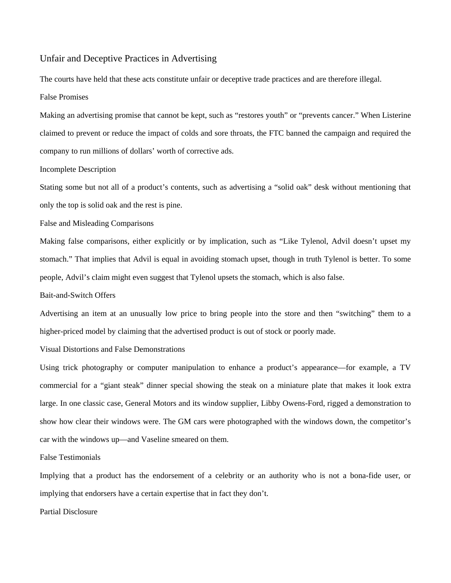#### Unfair and Deceptive Practices in Advertising

The courts have held that these acts constitute unfair or deceptive trade practices and are therefore illegal.

#### False Promises

Making an advertising promise that cannot be kept, such as "restores youth" or "prevents cancer." When Listerine claimed to prevent or reduce the impact of colds and sore throats, the FTC banned the campaign and required the company to run millions of dollars' worth of corrective ads.

#### Incomplete Description

Stating some but not all of a product's contents, such as advertising a "solid oak" desk without mentioning that only the top is solid oak and the rest is pine.

#### False and Misleading Comparisons

Making false comparisons, either explicitly or by implication, such as "Like Tylenol, Advil doesn't upset my stomach." That implies that Advil is equal in avoiding stomach upset, though in truth Tylenol is better. To some people, Advil's claim might even suggest that Tylenol upsets the stomach, which is also false.

#### Bait-and-Switch Offers

Advertising an item at an unusually low price to bring people into the store and then "switching" them to a higher-priced model by claiming that the advertised product is out of stock or poorly made.

Visual Distortions and False Demonstrations

Using trick photography or computer manipulation to enhance a product's appearance—for example, a TV commercial for a "giant steak" dinner special showing the steak on a miniature plate that makes it look extra large. In one classic case, General Motors and its window supplier, Libby Owens-Ford, rigged a demonstration to show how clear their windows were. The GM cars were photographed with the windows down, the competitor's car with the windows up—and Vaseline smeared on them.

#### False Testimonials

Implying that a product has the endorsement of a celebrity or an authority who is not a bona-fide user, or implying that endorsers have a certain expertise that in fact they don't.

Partial Disclosure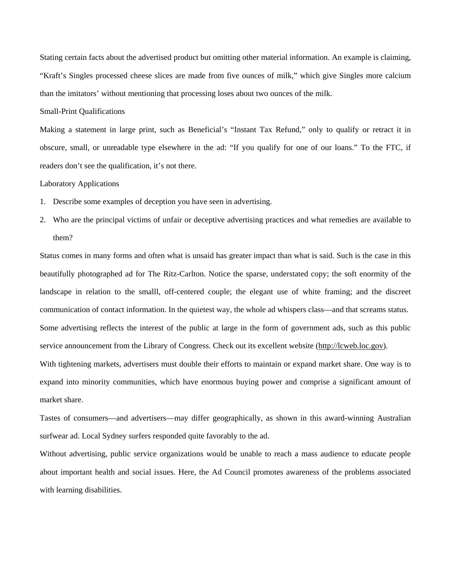Stating certain facts about the advertised product but omitting other material information. An example is claiming, "Kraft's Singles processed cheese slices are made from five ounces of milk," which give Singles more calcium than the imitators' without mentioning that processing loses about two ounces of the milk.

#### Small-Print Qualifications

Making a statement in large print, such as Beneficial's "Instant Tax Refund," only to qualify or retract it in obscure, small, or unreadable type elsewhere in the ad: "If you qualify for one of our loans." To the FTC, if readers don't see the qualification, it's not there.

#### Laboratory Applications

- 1. Describe some examples of deception you have seen in advertising.
- 2. Who are the principal victims of unfair or deceptive advertising practices and what remedies are available to them?

Status comes in many forms and often what is unsaid has greater impact than what is said. Such is the case in this beautifully photographed ad for The Ritz-Carlton. Notice the sparse, understated copy; the soft enormity of the landscape in relation to the smalll, off-centered couple; the elegant use of white framing; and the discreet communication of contact information. In the quietest way, the whole ad whispers class—and that screams status. Some advertising reflects the interest of the public at large in the form of government ads, such as this public service announcement from the Library of Congress. Check out its excellent website (http://lcweb.loc.gov).

With tightening markets, advertisers must double their efforts to maintain or expand market share. One way is to expand into minority communities, which have enormous buying power and comprise a significant amount of market share.

Tastes of consumers—and advertisers—may differ geographically, as shown in this award-winning Australian surfwear ad. Local Sydney surfers responded quite favorably to the ad.

Without advertising, public service organizations would be unable to reach a mass audience to educate people about important health and social issues. Here, the Ad Council promotes awareness of the problems associated with learning disabilities.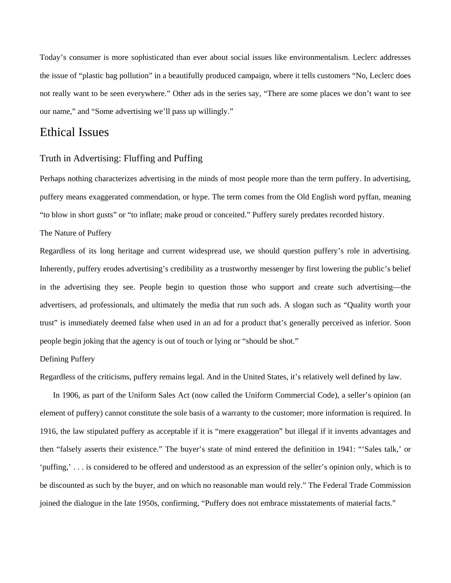Today's consumer is more sophisticated than ever about social issues like environmentalism. Leclerc addresses the issue of "plastic bag pollution" in a beautifully produced campaign, where it tells customers "No, Leclerc does not really want to be seen everywhere." Other ads in the series say, "There are some places we don't want to see our name," and "Some advertising we'll pass up willingly."

# Ethical Issues

#### Truth in Advertising: Fluffing and Puffing

Perhaps nothing characterizes advertising in the minds of most people more than the term puffery. In advertising, puffery means exaggerated commendation, or hype. The term comes from the Old English word pyffan, meaning "to blow in short gusts" or "to inflate; make proud or conceited." Puffery surely predates recorded history.

#### The Nature of Puffery

Regardless of its long heritage and current widespread use, we should question puffery's role in advertising. Inherently, puffery erodes advertising's credibility as a trustworthy messenger by first lowering the public's belief in the advertising they see. People begin to question those who support and create such advertising—the advertisers, ad professionals, and ultimately the media that run such ads. A slogan such as "Quality worth your trust" is immediately deemed false when used in an ad for a product that's generally perceived as inferior. Soon people begin joking that the agency is out of touch or lying or "should be shot."

#### Defining Puffery

Regardless of the criticisms, puffery remains legal. And in the United States, it's relatively well defined by law.

In 1906, as part of the Uniform Sales Act (now called the Uniform Commercial Code), a seller's opinion (an element of puffery) cannot constitute the sole basis of a warranty to the customer; more information is required. In 1916, the law stipulated puffery as acceptable if it is "mere exaggeration" but illegal if it invents advantages and then "falsely asserts their existence." The buyer's state of mind entered the definition in 1941: "'Sales talk,' or 'puffing,' . . . is considered to be offered and understood as an expression of the seller's opinion only, which is to be discounted as such by the buyer, and on which no reasonable man would rely." The Federal Trade Commission joined the dialogue in the late 1950s, confirming, "Puffery does not embrace misstatements of material facts."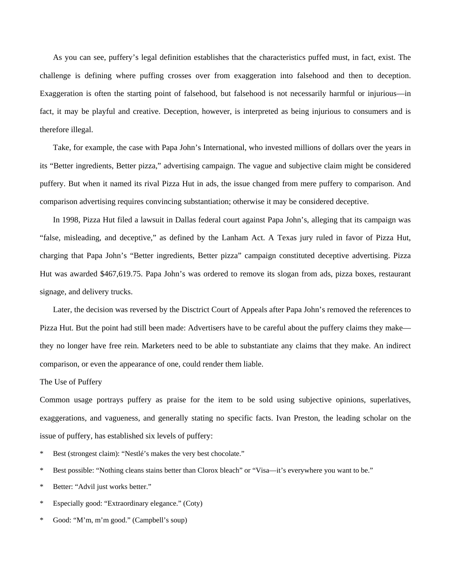As you can see, puffery's legal definition establishes that the characteristics puffed must, in fact, exist. The challenge is defining where puffing crosses over from exaggeration into falsehood and then to deception. Exaggeration is often the starting point of falsehood, but falsehood is not necessarily harmful or injurious—in fact, it may be playful and creative. Deception, however, is interpreted as being injurious to consumers and is therefore illegal.

Take, for example, the case with Papa John's International, who invested millions of dollars over the years in its "Better ingredients, Better pizza," advertising campaign. The vague and subjective claim might be considered puffery. But when it named its rival Pizza Hut in ads, the issue changed from mere puffery to comparison. And comparison advertising requires convincing substantiation; otherwise it may be considered deceptive.

In 1998, Pizza Hut filed a lawsuit in Dallas federal court against Papa John's, alleging that its campaign was "false, misleading, and deceptive," as defined by the Lanham Act. A Texas jury ruled in favor of Pizza Hut, charging that Papa John's "Better ingredients, Better pizza" campaign constituted deceptive advertising. Pizza Hut was awarded \$467,619.75. Papa John's was ordered to remove its slogan from ads, pizza boxes, restaurant signage, and delivery trucks.

Later, the decision was reversed by the Disctrict Court of Appeals after Papa John's removed the references to Pizza Hut. But the point had still been made: Advertisers have to be careful about the puffery claims they make they no longer have free rein. Marketers need to be able to substantiate any claims that they make. An indirect comparison, or even the appearance of one, could render them liable.

#### The Use of Puffery

Common usage portrays puffery as praise for the item to be sold using subjective opinions, superlatives, exaggerations, and vagueness, and generally stating no specific facts. Ivan Preston, the leading scholar on the issue of puffery, has established six levels of puffery:

- \* Best (strongest claim): "Nestlé's makes the very best chocolate."
- \* Best possible: "Nothing cleans stains better than Clorox bleach" or "Visa—it's everywhere you want to be."
- \* Better: "Advil just works better."
- \* Especially good: "Extraordinary elegance." (Coty)
- Good: "M'm, m'm good." (Campbell's soup)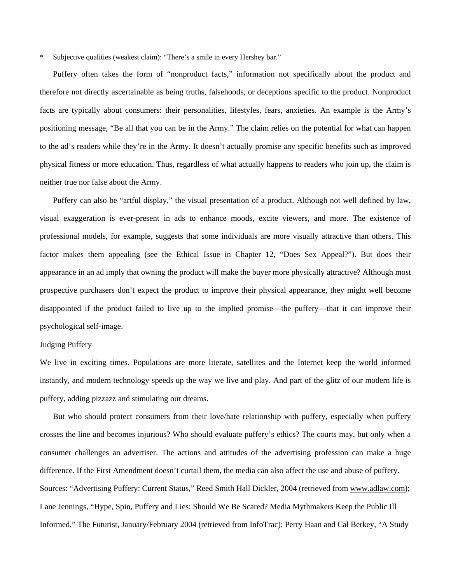#### \* Subjective qualities (weakest claim): "There's a smile in every Hershey bar."

Puffery often takes the form of "nonproduct facts," information not specifically about the product and therefore not directly ascertainable as being truths, falsehoods, or deceptions specific to the product. Nonproduct facts are typically about consumers: their personalities, lifestyles, fears, anxieties. An example is the Army's positioning message, "Be all that you can be in the Army." The claim relies on the potential for what can happen to the ad's readers while they're in the Army. It doesn't actually promise any specific benefits such as improved physical fitness or more education. Thus, regardless of what actually happens to readers who join up, the claim is neither true nor false about the Army.

Puffery can also be "artful display," the visual presentation of a product. Although not well defined by law, visual exaggeration is ever-present in ads to enhance moods, excite viewers, and more. The existence of professional models, for example, suggests that some individuals are more visually attractive than others. This factor makes them appealing (see the Ethical Issue in Chapter 12, "Does Sex Appeal?"). But does their appearance in an ad imply that owning the product will make the buyer more physically attractive? Although most prospective purchasers don't expect the product to improve their physical appearance, they might well become disappointed if the product failed to live up to the implied promise—the puffery—that it can improve their psychological self-image.

#### Judging Puffery

We live in exciting times. Populations are more literate, satellites and the Internet keep the world informed instantly, and modern technology speeds up the way we live and play. And part of the glitz of our modern life is puffery, adding pizzazz and stimulating our dreams.

But who should protect consumers from their love/hate relationship with puffery, especially when puffery crosses the line and becomes injurious? Who should evaluate puffery's ethics? The courts may, but only when a consumer challenges an advertiser. The actions and attitudes of the advertising profession can make a huge difference. If the First Amendment doesn't curtail them, the media can also affect the use and abuse of puffery. Sources: "Advertising Puffery: Current Status," Reed Smith Hall Dickler, 2004 (retrieved from www.adlaw.com); Lane Jennings, "Hype, Spin, Puffery and Lies: Should We Be Scared? Media Mythmakers Keep the Public Ill Informed," The Futurist, January/February 2004 (retrieved from InfoTrac); Perry Haan and Cal Berkey, "A Study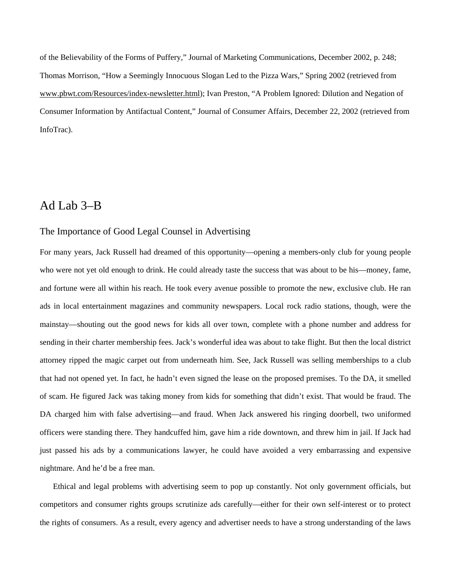of the Believability of the Forms of Puffery," Journal of Marketing Communications, December 2002, p. 248; Thomas Morrison, "How a Seemingly Innocuous Slogan Led to the Pizza Wars," Spring 2002 (retrieved from www.pbwt.com/Resources/index-newsletter.html); Ivan Preston, "A Problem Ignored: Dilution and Negation of Consumer Information by Antifactual Content," Journal of Consumer Affairs, December 22, 2002 (retrieved from InfoTrac).

# Ad Lab 3–B

#### The Importance of Good Legal Counsel in Advertising

For many years, Jack Russell had dreamed of this opportunity—opening a members-only club for young people who were not yet old enough to drink. He could already taste the success that was about to be his—money, fame, and fortune were all within his reach. He took every avenue possible to promote the new, exclusive club. He ran ads in local entertainment magazines and community newspapers. Local rock radio stations, though, were the mainstay—shouting out the good news for kids all over town, complete with a phone number and address for sending in their charter membership fees. Jack's wonderful idea was about to take flight. But then the local district attorney ripped the magic carpet out from underneath him. See, Jack Russell was selling memberships to a club that had not opened yet. In fact, he hadn't even signed the lease on the proposed premises. To the DA, it smelled of scam. He figured Jack was taking money from kids for something that didn't exist. That would be fraud. The DA charged him with false advertising—and fraud. When Jack answered his ringing doorbell, two uniformed officers were standing there. They handcuffed him, gave him a ride downtown, and threw him in jail. If Jack had just passed his ads by a communications lawyer, he could have avoided a very embarrassing and expensive nightmare. And he'd be a free man.

Ethical and legal problems with advertising seem to pop up constantly. Not only government officials, but competitors and consumer rights groups scrutinize ads carefully—either for their own self-interest or to protect the rights of consumers. As a result, every agency and advertiser needs to have a strong understanding of the laws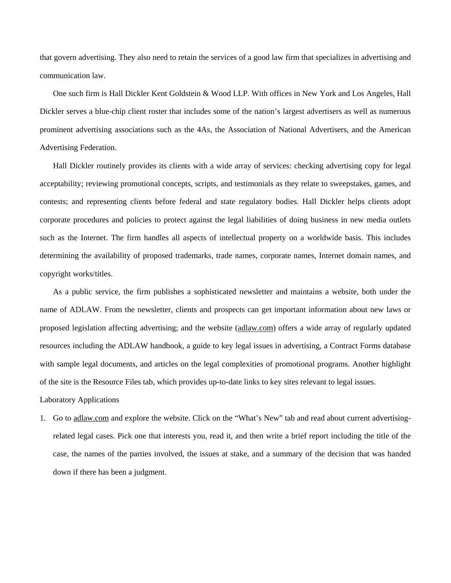that govern advertising. They also need to retain the services of a good law firm that specializes in advertising and communication law.

One such firm is Hall Dickler Kent Goldstein & Wood LLP. With offices in New York and Los Angeles, Hall Dickler serves a blue-chip client roster that includes some of the nation's largest advertisers as well as numerous prominent advertising associations such as the 4As, the Association of National Advertisers, and the American Advertising Federation.

Hall Dickler routinely provides its clients with a wide array of services: checking advertising copy for legal acceptability; reviewing promotional concepts, scripts, and testimonials as they relate to sweepstakes, games, and contests; and representing clients before federal and state regulatory bodies. Hall Dickler helps clients adopt corporate procedures and policies to protect against the legal liabilities of doing business in new media outlets such as the Internet. The firm handles all aspects of intellectual property on a worldwide basis. This includes determining the availability of proposed trademarks, trade names, corporate names, Internet domain names, and copyright works/titles.

As a public service, the firm publishes a sophisticated newsletter and maintains a website, both under the name of ADLAW. From the newsletter, clients and prospects can get important information about new laws or proposed legislation affecting advertising; and the website (adlaw.com) offers a wide array of regularly updated resources including the ADLAW handbook, a guide to key legal issues in advertising, a Contract Forms database with sample legal documents, and articles on the legal complexities of promotional programs. Another highlight of the site is the Resource Files tab, which provides up-to-date links to key sites relevant to legal issues.

#### Laboratory Applications

1. Go to adlaw.com and explore the website. Click on the "What's New" tab and read about current advertisingrelated legal cases. Pick one that interests you, read it, and then write a brief report including the title of the case, the names of the parties involved, the issues at stake, and a summary of the decision that was handed down if there has been a judgment.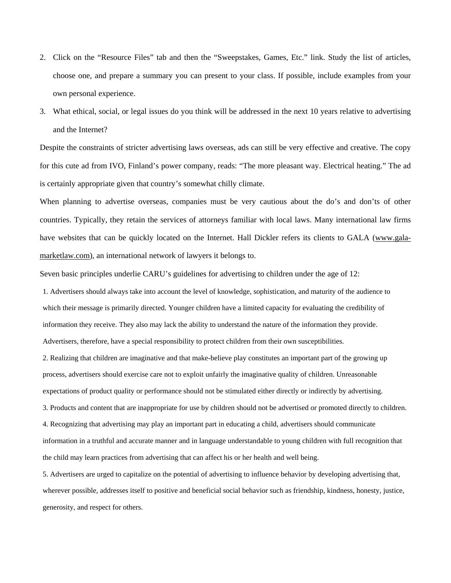- 2. Click on the "Resource Files" tab and then the "Sweepstakes, Games, Etc." link. Study the list of articles, choose one, and prepare a summary you can present to your class. If possible, include examples from your own personal experience.
- 3. What ethical, social, or legal issues do you think will be addressed in the next 10 years relative to advertising and the Internet?

Despite the constraints of stricter advertising laws overseas, ads can still be very effective and creative. The copy for this cute ad from IVO, Finland's power company, reads: "The more pleasant way. Electrical heating." The ad is certainly appropriate given that country's somewhat chilly climate.

When planning to advertise overseas, companies must be very cautious about the do's and don'ts of other countries. Typically, they retain the services of attorneys familiar with local laws. Many international law firms have websites that can be quickly located on the Internet. Hall Dickler refers its clients to GALA (www.galamarketlaw.com), an international network of lawyers it belongs to.

Seven basic principles underlie CARU's guidelines for advertising to children under the age of 12:

1. Advertisers should always take into account the level of knowledge, sophistication, and maturity of the audience to which their message is primarily directed. Younger children have a limited capacity for evaluating the credibility of information they receive. They also may lack the ability to understand the nature of the information they provide. Advertisers, therefore, have a special responsibility to protect children from their own susceptibilities.

2. Realizing that children are imaginative and that make-believe play constitutes an important part of the growing up process, advertisers should exercise care not to exploit unfairly the imaginative quality of children. Unreasonable expectations of product quality or performance should not be stimulated either directly or indirectly by advertising.

3. Products and content that are inappropriate for use by children should not be advertised or promoted directly to children. 4. Recognizing that advertising may play an important part in educating a child, advertisers should communicate information in a truthful and accurate manner and in language understandable to young children with full recognition that the child may learn practices from advertising that can affect his or her health and well being.

5. Advertisers are urged to capitalize on the potential of advertising to influence behavior by developing advertising that, wherever possible, addresses itself to positive and beneficial social behavior such as friendship, kindness, honesty, justice, generosity, and respect for others.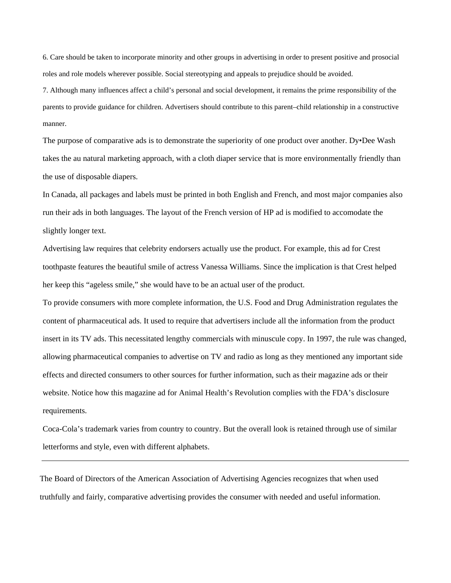6. Care should be taken to incorporate minority and other groups in advertising in order to present positive and prosocial roles and role models wherever possible. Social stereotyping and appeals to prejudice should be avoided.

7. Although many influences affect a child's personal and social development, it remains the prime responsibility of the parents to provide guidance for children. Advertisers should contribute to this parent–child relationship in a constructive manner.

The purpose of comparative ads is to demonstrate the superiority of one product over another. Dy•Dee Wash takes the au natural marketing approach, with a cloth diaper service that is more environmentally friendly than the use of disposable diapers.

In Canada, all packages and labels must be printed in both English and French, and most major companies also run their ads in both languages. The layout of the French version of HP ad is modified to accomodate the slightly longer text.

Advertising law requires that celebrity endorsers actually use the product. For example, this ad for Crest toothpaste features the beautiful smile of actress Vanessa Williams. Since the implication is that Crest helped her keep this "ageless smile," she would have to be an actual user of the product.

To provide consumers with more complete information, the U.S. Food and Drug Administration regulates the content of pharmaceutical ads. It used to require that advertisers include all the information from the product insert in its TV ads. This necessitated lengthy commercials with minuscule copy. In 1997, the rule was changed, allowing pharmaceutical companies to advertise on TV and radio as long as they mentioned any important side effects and directed consumers to other sources for further information, such as their magazine ads or their website. Notice how this magazine ad for Animal Health's Revolution complies with the FDA's disclosure requirements.

Coca-Cola's trademark varies from country to country. But the overall look is retained through use of similar letterforms and style, even with different alphabets.

The Board of Directors of the American Association of Advertising Agencies recognizes that when used truthfully and fairly, comparative advertising provides the consumer with needed and useful information.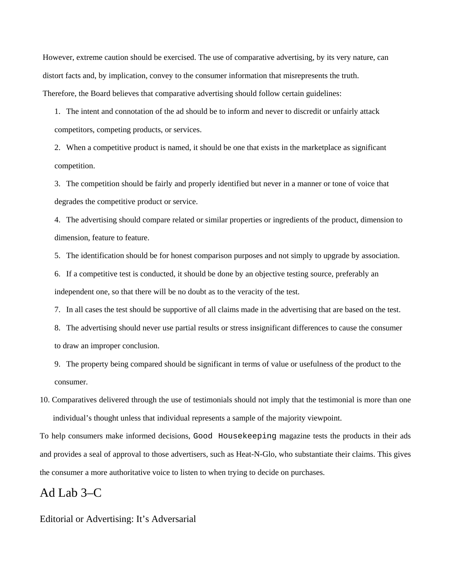However, extreme caution should be exercised. The use of comparative advertising, by its very nature, can distort facts and, by implication, convey to the consumer information that misrepresents the truth. Therefore, the Board believes that comparative advertising should follow certain guidelines:

 1. The intent and connotation of the ad should be to inform and never to discredit or unfairly attack competitors, competing products, or services.

 2. When a competitive product is named, it should be one that exists in the marketplace as significant competition.

 3. The competition should be fairly and properly identified but never in a manner or tone of voice that degrades the competitive product or service.

 4. The advertising should compare related or similar properties or ingredients of the product, dimension to dimension, feature to feature.

5. The identification should be for honest comparison purposes and not simply to upgrade by association.

 6. If a competitive test is conducted, it should be done by an objective testing source, preferably an independent one, so that there will be no doubt as to the veracity of the test.

7. In all cases the test should be supportive of all claims made in the advertising that are based on the test.

 8. The advertising should never use partial results or stress insignificant differences to cause the consumer to draw an improper conclusion.

 9. The property being compared should be significant in terms of value or usefulness of the product to the consumer.

10. Comparatives delivered through the use of testimonials should not imply that the testimonial is more than one individual's thought unless that individual represents a sample of the majority viewpoint.

To help consumers make informed decisions, Good Housekeeping magazine tests the products in their ads and provides a seal of approval to those advertisers, such as Heat-N-Glo, who substantiate their claims. This gives the consumer a more authoritative voice to listen to when trying to decide on purchases.

# Ad Lab 3–C

Editorial or Advertising: It's Adversarial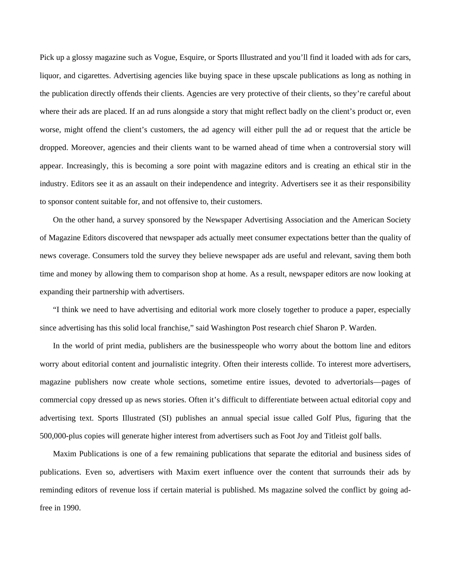Pick up a glossy magazine such as Vogue, Esquire, or Sports Illustrated and you'll find it loaded with ads for cars, liquor, and cigarettes. Advertising agencies like buying space in these upscale publications as long as nothing in the publication directly offends their clients. Agencies are very protective of their clients, so they're careful about where their ads are placed. If an ad runs alongside a story that might reflect badly on the client's product or, even worse, might offend the client's customers, the ad agency will either pull the ad or request that the article be dropped. Moreover, agencies and their clients want to be warned ahead of time when a controversial story will appear. Increasingly, this is becoming a sore point with magazine editors and is creating an ethical stir in the industry. Editors see it as an assault on their independence and integrity. Advertisers see it as their responsibility to sponsor content suitable for, and not offensive to, their customers.

On the other hand, a survey sponsored by the Newspaper Advertising Association and the American Society of Magazine Editors discovered that newspaper ads actually meet consumer expectations better than the quality of news coverage. Consumers told the survey they believe newspaper ads are useful and relevant, saving them both time and money by allowing them to comparison shop at home. As a result, newspaper editors are now looking at expanding their partnership with advertisers.

"I think we need to have advertising and editorial work more closely together to produce a paper, especially since advertising has this solid local franchise," said Washington Post research chief Sharon P. Warden.

In the world of print media, publishers are the businesspeople who worry about the bottom line and editors worry about editorial content and journalistic integrity. Often their interests collide. To interest more advertisers, magazine publishers now create whole sections, sometime entire issues, devoted to advertorials—pages of commercial copy dressed up as news stories. Often it's difficult to differentiate between actual editorial copy and advertising text. Sports Illustrated (SI) publishes an annual special issue called Golf Plus, figuring that the 500,000-plus copies will generate higher interest from advertisers such as Foot Joy and Titleist golf balls.

Maxim Publications is one of a few remaining publications that separate the editorial and business sides of publications. Even so, advertisers with Maxim exert influence over the content that surrounds their ads by reminding editors of revenue loss if certain material is published. Ms magazine solved the conflict by going adfree in 1990.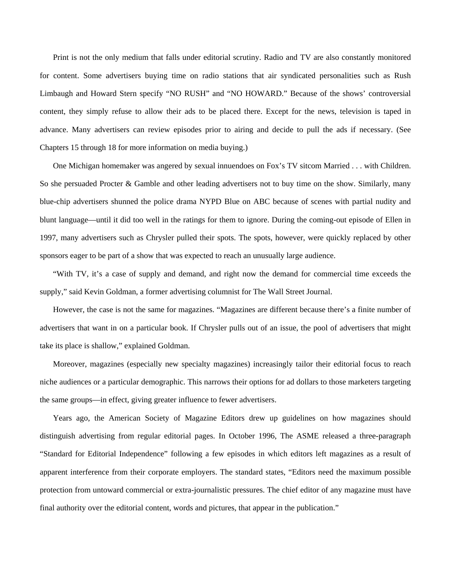Print is not the only medium that falls under editorial scrutiny. Radio and TV are also constantly monitored for content. Some advertisers buying time on radio stations that air syndicated personalities such as Rush Limbaugh and Howard Stern specify "NO RUSH" and "NO HOWARD." Because of the shows' controversial content, they simply refuse to allow their ads to be placed there. Except for the news, television is taped in advance. Many advertisers can review episodes prior to airing and decide to pull the ads if necessary. (See Chapters 15 through 18 for more information on media buying.)

One Michigan homemaker was angered by sexual innuendoes on Fox's TV sitcom Married . . . with Children. So she persuaded Procter & Gamble and other leading advertisers not to buy time on the show. Similarly, many blue-chip advertisers shunned the police drama NYPD Blue on ABC because of scenes with partial nudity and blunt language—until it did too well in the ratings for them to ignore. During the coming-out episode of Ellen in 1997, many advertisers such as Chrysler pulled their spots. The spots, however, were quickly replaced by other sponsors eager to be part of a show that was expected to reach an unusually large audience.

"With TV, it's a case of supply and demand, and right now the demand for commercial time exceeds the supply," said Kevin Goldman, a former advertising columnist for The Wall Street Journal.

However, the case is not the same for magazines. "Magazines are different because there's a finite number of advertisers that want in on a particular book. If Chrysler pulls out of an issue, the pool of advertisers that might take its place is shallow," explained Goldman.

Moreover, magazines (especially new specialty magazines) increasingly tailor their editorial focus to reach niche audiences or a particular demographic. This narrows their options for ad dollars to those marketers targeting the same groups—in effect, giving greater influence to fewer advertisers.

Years ago, the American Society of Magazine Editors drew up guidelines on how magazines should distinguish advertising from regular editorial pages. In October 1996, The ASME released a three-paragraph "Standard for Editorial Independence" following a few episodes in which editors left magazines as a result of apparent interference from their corporate employers. The standard states, "Editors need the maximum possible protection from untoward commercial or extra-journalistic pressures. The chief editor of any magazine must have final authority over the editorial content, words and pictures, that appear in the publication."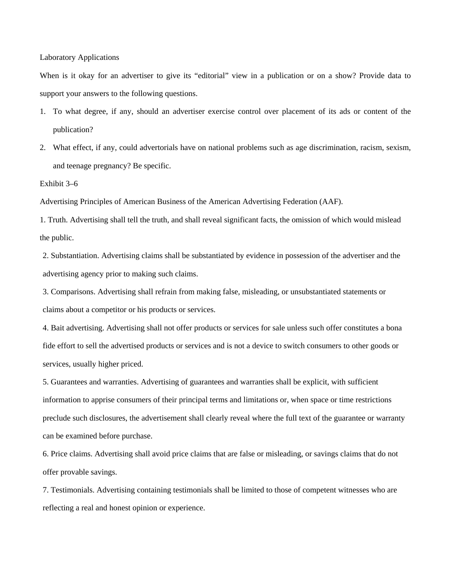Laboratory Applications

When is it okay for an advertiser to give its "editorial" view in a publication or on a show? Provide data to support your answers to the following questions.

- 1. To what degree, if any, should an advertiser exercise control over placement of its ads or content of the publication?
- 2. What effect, if any, could advertorials have on national problems such as age discrimination, racism, sexism, and teenage pregnancy? Be specific.

Exhibit 3–6

Advertising Principles of American Business of the American Advertising Federation (AAF).

1. Truth. Advertising shall tell the truth, and shall reveal significant facts, the omission of which would mislead the public.

2. Substantiation. Advertising claims shall be substantiated by evidence in possession of the advertiser and the advertising agency prior to making such claims.

3. Comparisons. Advertising shall refrain from making false, misleading, or unsubstantiated statements or claims about a competitor or his products or services.

4. Bait advertising. Advertising shall not offer products or services for sale unless such offer constitutes a bona fide effort to sell the advertised products or services and is not a device to switch consumers to other goods or services, usually higher priced.

5. Guarantees and warranties. Advertising of guarantees and warranties shall be explicit, with sufficient information to apprise consumers of their principal terms and limitations or, when space or time restrictions preclude such disclosures, the advertisement shall clearly reveal where the full text of the guarantee or warranty can be examined before purchase.

6. Price claims. Advertising shall avoid price claims that are false or misleading, or savings claims that do not offer provable savings.

7. Testimonials. Advertising containing testimonials shall be limited to those of competent witnesses who are reflecting a real and honest opinion or experience.